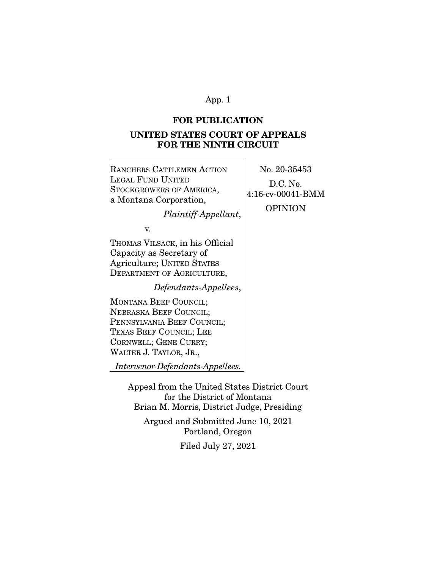## **FOR PUBLICATION**

# **UNITED STATES COURT OF APPEALS FOR THE NINTH CIRCUIT**

RANCHERS CATTLEMEN ACTION LEGAL FUND UNITED STOCKGROWERS OF AMERICA, a Montana Corporation, *Plaintiff-Appellant*, v. THOMAS VILSACK, in his Official Capacity as Secretary of Agriculture; UNITED STATES DEPARTMENT OF AGRICULTURE, *Defendants-Appellees*, MONTANA BEEF COUNCIL; NEBRASKA BEEF COUNCIL; PENNSYLVANIA BEEF COUNCIL; TEXAS BEEF COUNCIL; LEE CORNWELL; GENE CURRY; WALTER J. TAYLOR, JR., *Intervenor-Defendants-Appellees.* No. 20-35453 D.C. No. 4:16-cv-00041-BMM OPINION Appeal from the United States District Court for the District of Montana Brian M. Morris, District Judge, Presiding Argued and Submitted June 10, 2021

Portland, Oregon

Filed July 27, 2021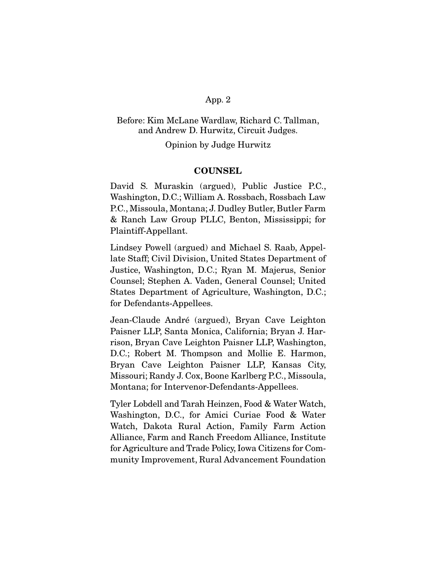# Before: Kim McLane Wardlaw, Richard C. Tallman, and Andrew D. Hurwitz, Circuit Judges.

## Opinion by Judge Hurwitz

## **COUNSEL**

David S. Muraskin (argued), Public Justice P.C., Washington, D.C.; William A. Rossbach, Rossbach Law P.C., Missoula, Montana; J. Dudley Butler, Butler Farm & Ranch Law Group PLLC, Benton, Mississippi; for Plaintiff-Appellant.

Lindsey Powell (argued) and Michael S. Raab, Appellate Staff; Civil Division, United States Department of Justice, Washington, D.C.; Ryan M. Majerus, Senior Counsel; Stephen A. Vaden, General Counsel; United States Department of Agriculture, Washington, D.C.; for Defendants-Appellees.

Jean-Claude André (argued), Bryan Cave Leighton Paisner LLP, Santa Monica, California; Bryan J. Harrison, Bryan Cave Leighton Paisner LLP, Washington, D.C.; Robert M. Thompson and Mollie E. Harmon, Bryan Cave Leighton Paisner LLP, Kansas City, Missouri; Randy J. Cox, Boone Karlberg P.C., Missoula, Montana; for Intervenor-Defendants-Appellees.

Tyler Lobdell and Tarah Heinzen, Food & Water Watch, Washington, D.C., for Amici Curiae Food & Water Watch, Dakota Rural Action, Family Farm Action Alliance, Farm and Ranch Freedom Alliance, Institute for Agriculture and Trade Policy, Iowa Citizens for Community Improvement, Rural Advancement Foundation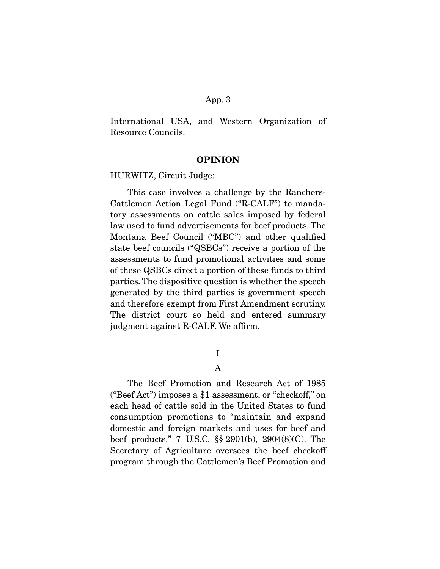International USA, and Western Organization of Resource Councils.

### **OPINION**

HURWITZ, Circuit Judge:

 This case involves a challenge by the Ranchers-Cattlemen Action Legal Fund ("R-CALF") to mandatory assessments on cattle sales imposed by federal law used to fund advertisements for beef products. The Montana Beef Council ("MBC") and other qualified state beef councils ("QSBCs") receive a portion of the assessments to fund promotional activities and some of these QSBCs direct a portion of these funds to third parties. The dispositive question is whether the speech generated by the third parties is government speech and therefore exempt from First Amendment scrutiny. The district court so held and entered summary judgment against R-CALF. We affirm.

I

## A

 The Beef Promotion and Research Act of 1985 ("Beef Act") imposes a \$1 assessment, or "checkoff," on each head of cattle sold in the United States to fund consumption promotions to "maintain and expand domestic and foreign markets and uses for beef and beef products." 7 U.S.C. §§ 2901(b), 2904(8)(C). The Secretary of Agriculture oversees the beef checkoff program through the Cattlemen's Beef Promotion and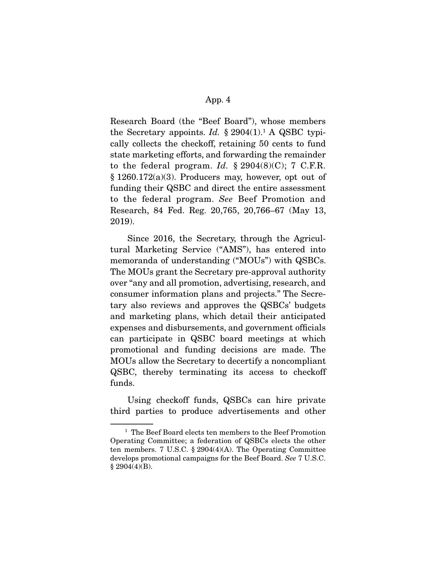Research Board (the "Beef Board"), whose members the Secretary appoints. *Id.*  $\S 2904(1)$ <sup>1</sup> A QSBC typically collects the checkoff, retaining 50 cents to fund state marketing efforts, and forwarding the remainder to the federal program. *Id.*  $\S 2904(8)(C)$ ; 7 C.F.R. § 1260.172(a)(3). Producers may, however, opt out of funding their QSBC and direct the entire assessment to the federal program. *See* Beef Promotion and Research, 84 Fed. Reg. 20,765, 20,766–67 (May 13, 2019).

 Since 2016, the Secretary, through the Agricultural Marketing Service ("AMS"), has entered into memoranda of understanding ("MOUs") with QSBCs. The MOUs grant the Secretary pre-approval authority over "any and all promotion, advertising, research, and consumer information plans and projects." The Secretary also reviews and approves the QSBCs' budgets and marketing plans, which detail their anticipated expenses and disbursements, and government officials can participate in QSBC board meetings at which promotional and funding decisions are made. The MOUs allow the Secretary to decertify a noncompliant QSBC, thereby terminating its access to checkoff funds.

 Using checkoff funds, QSBCs can hire private third parties to produce advertisements and other

<sup>&</sup>lt;sup>1</sup> The Beef Board elects ten members to the Beef Promotion Operating Committee; a federation of QSBCs elects the other ten members. 7 U.S.C. § 2904(4)(A). The Operating Committee develops promotional campaigns for the Beef Board. *See* 7 U.S.C.  $§$  2904(4)(B).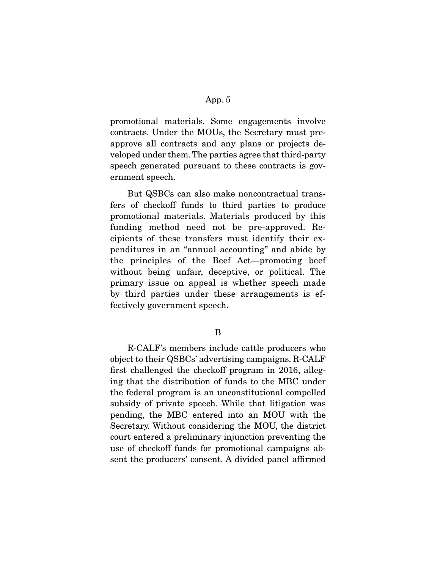promotional materials. Some engagements involve contracts. Under the MOUs, the Secretary must preapprove all contracts and any plans or projects developed under them. The parties agree that third-party speech generated pursuant to these contracts is government speech.

 But QSBCs can also make noncontractual transfers of checkoff funds to third parties to produce promotional materials. Materials produced by this funding method need not be pre-approved. Recipients of these transfers must identify their expenditures in an "annual accounting" and abide by the principles of the Beef Act—promoting beef without being unfair, deceptive, or political. The primary issue on appeal is whether speech made by third parties under these arrangements is effectively government speech.

B

 R-CALF's members include cattle producers who object to their QSBCs' advertising campaigns. R-CALF first challenged the checkoff program in 2016, alleging that the distribution of funds to the MBC under the federal program is an unconstitutional compelled subsidy of private speech. While that litigation was pending, the MBC entered into an MOU with the Secretary. Without considering the MOU, the district court entered a preliminary injunction preventing the use of checkoff funds for promotional campaigns absent the producers' consent. A divided panel affirmed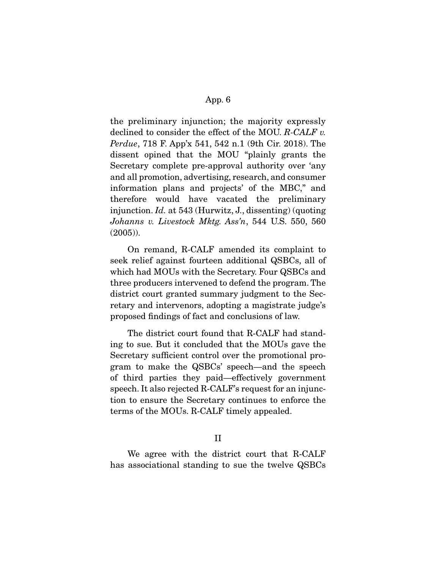the preliminary injunction; the majority expressly declined to consider the effect of the MOU. *R-CALF v. Perdue*, 718 F. App'x 541, 542 n.1 (9th Cir. 2018). The dissent opined that the MOU "plainly grants the Secretary complete pre-approval authority over 'any and all promotion, advertising, research, and consumer information plans and projects' of the MBC," and therefore would have vacated the preliminary injunction. *Id.* at 543 (Hurwitz, J., dissenting) (quoting *Johanns v. Livestock Mktg. Ass'n*, 544 U.S. 550, 560 (2005)).

 On remand, R-CALF amended its complaint to seek relief against fourteen additional QSBCs, all of which had MOUs with the Secretary. Four QSBCs and three producers intervened to defend the program. The district court granted summary judgment to the Secretary and intervenors, adopting a magistrate judge's proposed findings of fact and conclusions of law.

 The district court found that R-CALF had standing to sue. But it concluded that the MOUs gave the Secretary sufficient control over the promotional program to make the QSBCs' speech—and the speech of third parties they paid—effectively government speech. It also rejected R-CALF's request for an injunction to ensure the Secretary continues to enforce the terms of the MOUs. R-CALF timely appealed.

# II

 We agree with the district court that R-CALF has associational standing to sue the twelve QSBCs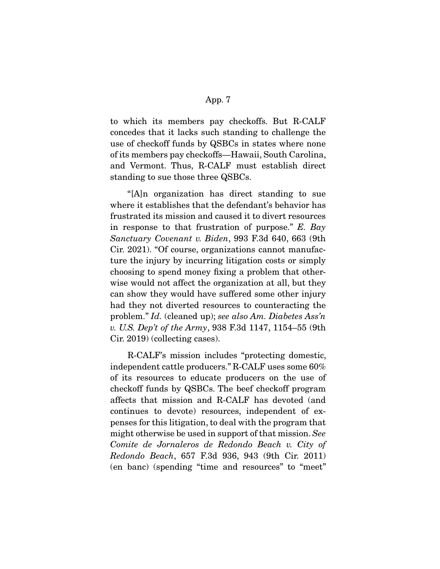to which its members pay checkoffs. But R-CALF concedes that it lacks such standing to challenge the use of checkoff funds by QSBCs in states where none of its members pay checkoffs—Hawaii, South Carolina, and Vermont. Thus, R-CALF must establish direct standing to sue those three QSBCs.

 "[A]n organization has direct standing to sue where it establishes that the defendant's behavior has frustrated its mission and caused it to divert resources in response to that frustration of purpose." *E. Bay Sanctuary Covenant v. Biden*, 993 F.3d 640, 663 (9th Cir. 2021). "Of course, organizations cannot manufacture the injury by incurring litigation costs or simply choosing to spend money fixing a problem that otherwise would not affect the organization at all, but they can show they would have suffered some other injury had they not diverted resources to counteracting the problem." *Id.* (cleaned up); *see also Am. Diabetes Ass'n v. U.S. Dep't of the Army*, 938 F.3d 1147, 1154–55 (9th Cir. 2019) (collecting cases).

 R-CALF's mission includes "protecting domestic, independent cattle producers." R-CALF uses some 60% of its resources to educate producers on the use of checkoff funds by QSBCs. The beef checkoff program affects that mission and R-CALF has devoted (and continues to devote) resources, independent of expenses for this litigation, to deal with the program that might otherwise be used in support of that mission. *See Comite de Jornaleros de Redondo Beach v. City of Redondo Beach*, 657 F.3d 936, 943 (9th Cir. 2011) (en banc) (spending "time and resources" to "meet"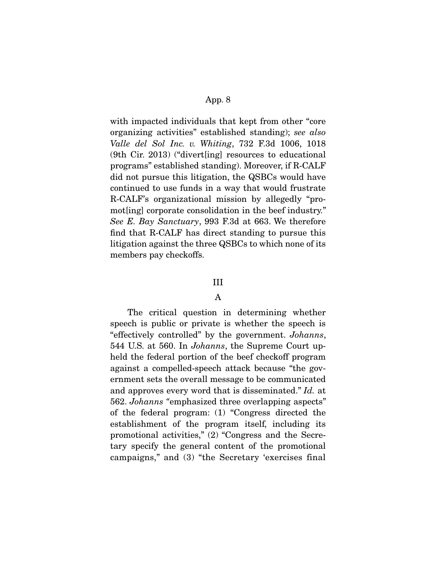with impacted individuals that kept from other "core organizing activities" established standing); *see also Valle del Sol Inc. v. Whiting*, 732 F.3d 1006, 1018 (9th Cir. 2013) ("divert[ing] resources to educational programs" established standing). Moreover, if R-CALF did not pursue this litigation, the QSBCs would have continued to use funds in a way that would frustrate R-CALF's organizational mission by allegedly "promot[ing] corporate consolidation in the beef industry." *See E. Bay Sanctuary*, 993 F.3d at 663. We therefore find that R-CALF has direct standing to pursue this litigation against the three QSBCs to which none of its members pay checkoffs.

#### III

# A

 The critical question in determining whether speech is public or private is whether the speech is "effectively controlled" by the government. *Johanns*, 544 U.S. at 560. In *Johanns*, the Supreme Court upheld the federal portion of the beef checkoff program against a compelled-speech attack because "the government sets the overall message to be communicated and approves every word that is disseminated." *Id.* at 562. *Johanns "*emphasized three overlapping aspects" of the federal program: (1) "Congress directed the establishment of the program itself, including its promotional activities," (2) "Congress and the Secretary specify the general content of the promotional campaigns," and (3) "the Secretary 'exercises final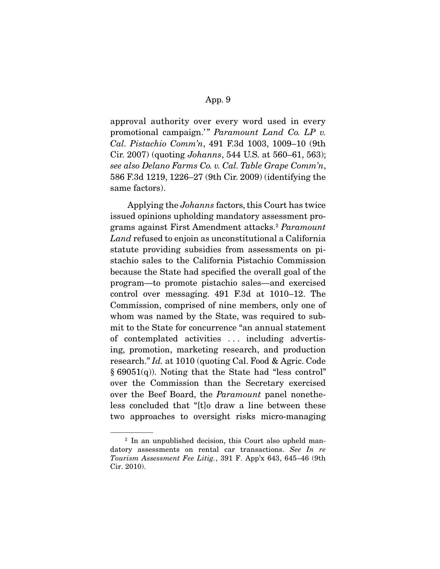approval authority over every word used in every promotional campaign.'" Paramount Land Co. LP v. *Cal. Pistachio Comm'n*, 491 F.3d 1003, 1009–10 (9th Cir. 2007) (quoting *Johanns*, 544 U.S. at 560–61, 563); *see also Delano Farms Co. v. Cal. Table Grape Comm'n*, 586 F.3d 1219, 1226–27 (9th Cir. 2009) (identifying the same factors).

 Applying the *Johanns* factors, this Court has twice issued opinions upholding mandatory assessment programs against First Amendment attacks.2 *Paramount Land* refused to enjoin as unconstitutional a California statute providing subsidies from assessments on pistachio sales to the California Pistachio Commission because the State had specified the overall goal of the program—to promote pistachio sales—and exercised control over messaging. 491 F.3d at 1010–12. The Commission, comprised of nine members, only one of whom was named by the State, was required to submit to the State for concurrence "an annual statement of contemplated activities . . . including advertising, promotion, marketing research, and production research." *Id.* at 1010 (quoting Cal. Food & Agric. Code  $§ 69051(q)$ . Noting that the State had "less control" over the Commission than the Secretary exercised over the Beef Board, the *Paramount* panel nonetheless concluded that "[t]o draw a line between these two approaches to oversight risks micro-managing

<sup>2</sup> In an unpublished decision, this Court also upheld mandatory assessments on rental car transactions. *See In re Tourism Assessment Fee Litig.*, 391 F. App'x 643, 645–46 (9th Cir. 2010).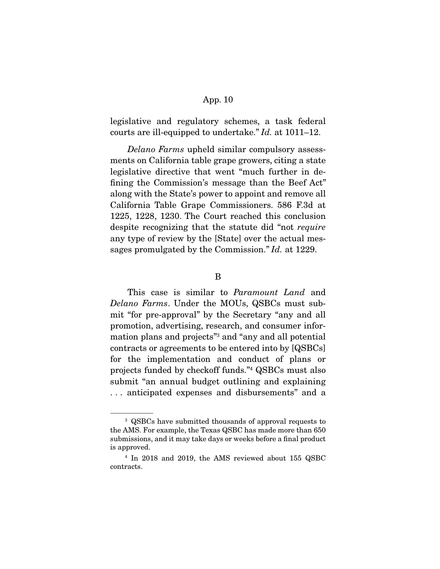legislative and regulatory schemes, a task federal courts are ill-equipped to undertake." *Id.* at 1011–12.

*Delano Farms* upheld similar compulsory assessments on California table grape growers, citing a state legislative directive that went "much further in defining the Commission's message than the Beef Act" along with the State's power to appoint and remove all California Table Grape Commissioners. 586 F.3d at 1225, 1228, 1230. The Court reached this conclusion despite recognizing that the statute did "not *require* any type of review by the [State] over the actual messages promulgated by the Commission." *Id.* at 1229.

 This case is similar to *Paramount Land* and *Delano Farms*. Under the MOUs, QSBCs must submit "for pre-approval" by the Secretary "any and all promotion, advertising, research, and consumer information plans and projects"3 and "any and all potential contracts or agreements to be entered into by [QSBCs] for the implementation and conduct of plans or projects funded by checkoff funds."4 QSBCs must also submit "an annual budget outlining and explaining . . . anticipated expenses and disbursements" and a

B

<sup>3</sup> QSBCs have submitted thousands of approval requests to the AMS. For example, the Texas QSBC has made more than 650 submissions, and it may take days or weeks before a final product is approved.

<sup>4</sup> In 2018 and 2019, the AMS reviewed about 155 QSBC contracts.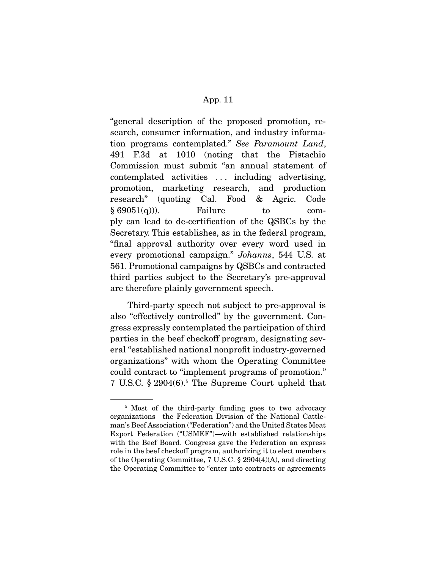"general description of the proposed promotion, research, consumer information, and industry information programs contemplated." *See Paramount Land*, 491 F.3d at 1010 (noting that the Pistachio Commission must submit "an annual statement of contemplated activities . . . including advertising, promotion, marketing research, and production research" (quoting Cal. Food & Agric. Code  $§ 69051(q))$ . Failure to comply can lead to de-certification of the QSBCs by the Secretary. This establishes, as in the federal program, "final approval authority over every word used in every promotional campaign." *Johanns*, 544 U.S. at 561. Promotional campaigns by QSBCs and contracted third parties subject to the Secretary's pre-approval are therefore plainly government speech.

 Third-party speech not subject to pre-approval is also "effectively controlled" by the government. Congress expressly contemplated the participation of third parties in the beef checkoff program, designating several "established national nonprofit industry-governed organizations" with whom the Operating Committee could contract to "implement programs of promotion." 7 U.S.C. § 2904(6).5 The Supreme Court upheld that

<sup>&</sup>lt;sup>5</sup> Most of the third-party funding goes to two advocacy organizations—the Federation Division of the National Cattleman's Beef Association ("Federation") and the United States Meat Export Federation ("USMEF")—with established relationships with the Beef Board. Congress gave the Federation an express role in the beef checkoff program, authorizing it to elect members of the Operating Committee, 7 U.S.C. § 2904(4)(A), and directing the Operating Committee to "enter into contracts or agreements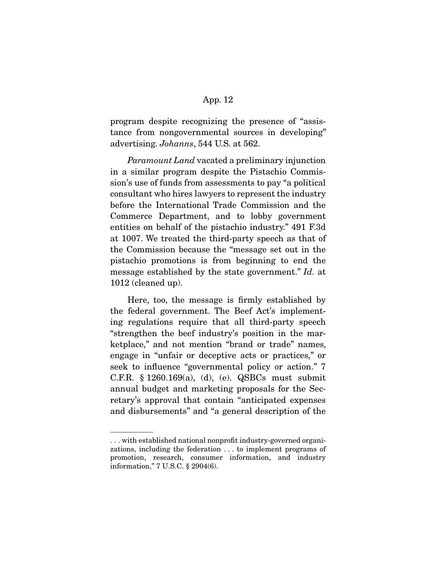program despite recognizing the presence of "assistance from nongovernmental sources in developing" advertising. *Johanns*, 544 U.S. at 562.

*Paramount Land* vacated a preliminary injunction in a similar program despite the Pistachio Commission's use of funds from assessments to pay "a political consultant who hires lawyers to represent the industry before the International Trade Commission and the Commerce Department, and to lobby government entities on behalf of the pistachio industry." 491 F.3d at 1007. We treated the third-party speech as that of the Commission because the "message set out in the pistachio promotions is from beginning to end the message established by the state government." *Id.* at 1012 (cleaned up).

 Here, too, the message is firmly established by the federal government. The Beef Act's implementing regulations require that all third-party speech "strengthen the beef industry's position in the marketplace," and not mention "brand or trade" names, engage in "unfair or deceptive acts or practices," or seek to influence "governmental policy or action." 7 C.F.R. § 1260.169(a), (d), (e). QSBCs must submit annual budget and marketing proposals for the Secretary's approval that contain "anticipated expenses and disbursements" and "a general description of the

<sup>. . .</sup> with established national nonprofit industry-governed organizations, including the federation . . . to implement programs of promotion, research, consumer information, and industry information," 7 U.S.C. § 2904(6).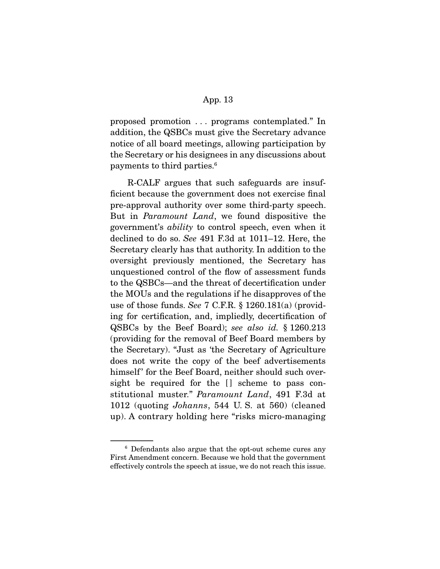proposed promotion . . . programs contemplated." In addition, the QSBCs must give the Secretary advance notice of all board meetings, allowing participation by the Secretary or his designees in any discussions about payments to third parties.6

 R-CALF argues that such safeguards are insufficient because the government does not exercise final pre-approval authority over some third-party speech. But in *Paramount Land*, we found dispositive the government's *ability* to control speech, even when it declined to do so. *See* 491 F.3d at 1011–12. Here, the Secretary clearly has that authority. In addition to the oversight previously mentioned, the Secretary has unquestioned control of the flow of assessment funds to the QSBCs—and the threat of decertification under the MOUs and the regulations if he disapproves of the use of those funds. *See* 7 C.F.R. § 1260.181(a) (providing for certification, and, impliedly, decertification of QSBCs by the Beef Board); *see also id.* § 1260.213 (providing for the removal of Beef Board members by the Secretary). "Just as 'the Secretary of Agriculture does not write the copy of the beef advertisements himself' for the Beef Board, neither should such oversight be required for the [] scheme to pass constitutional muster." *Paramount Land*, 491 F.3d at 1012 (quoting *Johanns*, 544 U. S. at 560) (cleaned up). A contrary holding here "risks micro-managing

<sup>6</sup> Defendants also argue that the opt-out scheme cures any First Amendment concern. Because we hold that the government effectively controls the speech at issue, we do not reach this issue.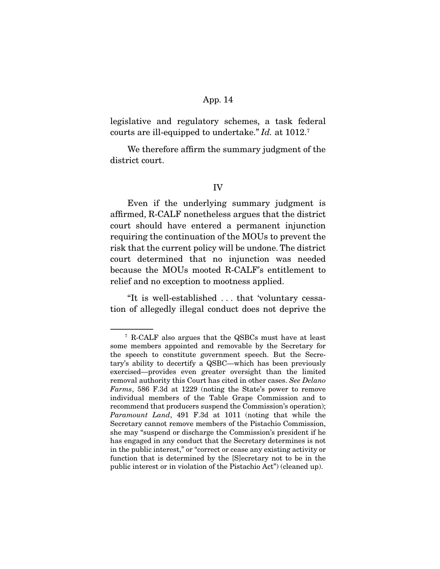legislative and regulatory schemes, a task federal courts are ill-equipped to undertake." *Id.* at 1012.7

 We therefore affirm the summary judgment of the district court.

### IV

 Even if the underlying summary judgment is affirmed, R-CALF nonetheless argues that the district court should have entered a permanent injunction requiring the continuation of the MOUs to prevent the risk that the current policy will be undone. The district court determined that no injunction was needed because the MOUs mooted R-CALF's entitlement to relief and no exception to mootness applied.

 "It is well-established . . . that 'voluntary cessation of allegedly illegal conduct does not deprive the

<sup>7</sup> R-CALF also argues that the QSBCs must have at least some members appointed and removable by the Secretary for the speech to constitute government speech. But the Secretary's ability to decertify a QSBC—which has been previously exercised—provides even greater oversight than the limited removal authority this Court has cited in other cases. *See Delano Farms*, 586 F.3d at 1229 (noting the State's power to remove individual members of the Table Grape Commission and to recommend that producers suspend the Commission's operation); *Paramount Land*, 491 F.3d at 1011 (noting that while the Secretary cannot remove members of the Pistachio Commission, she may "suspend or discharge the Commission's president if he has engaged in any conduct that the Secretary determines is not in the public interest," or "correct or cease any existing activity or function that is determined by the [S]ecretary not to be in the public interest or in violation of the Pistachio Act") (cleaned up).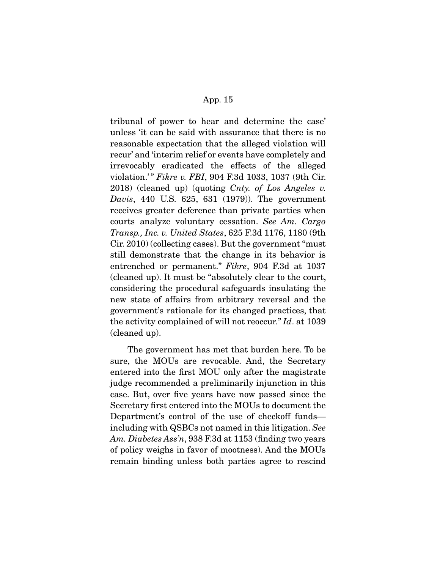tribunal of power to hear and determine the case' unless 'it can be said with assurance that there is no reasonable expectation that the alleged violation will recur' and 'interim relief or events have completely and irrevocably eradicated the effects of the alleged violation.'" *Fikre v. FBI*, 904 F.3d 1033, 1037 (9th Cir. 2018) (cleaned up) (quoting *Cnty. of Los Angeles v. Davis*, 440 U.S. 625, 631 (1979)). The government receives greater deference than private parties when courts analyze voluntary cessation. *See Am. Cargo Transp., Inc. v. United States*, 625 F.3d 1176, 1180 (9th Cir. 2010) (collecting cases). But the government "must still demonstrate that the change in its behavior is entrenched or permanent." *Fikre*, 904 F.3d at 1037 (cleaned up). It must be "absolutely clear to the court, considering the procedural safeguards insulating the new state of affairs from arbitrary reversal and the government's rationale for its changed practices, that the activity complained of will not reoccur." *Id*. at 1039 (cleaned up).

 The government has met that burden here. To be sure, the MOUs are revocable. And, the Secretary entered into the first MOU only after the magistrate judge recommended a preliminarily injunction in this case. But, over five years have now passed since the Secretary first entered into the MOUs to document the Department's control of the use of checkoff funds including with QSBCs not named in this litigation. *See Am. Diabetes Ass'n*, 938 F.3d at 1153 (finding two years of policy weighs in favor of mootness). And the MOUs remain binding unless both parties agree to rescind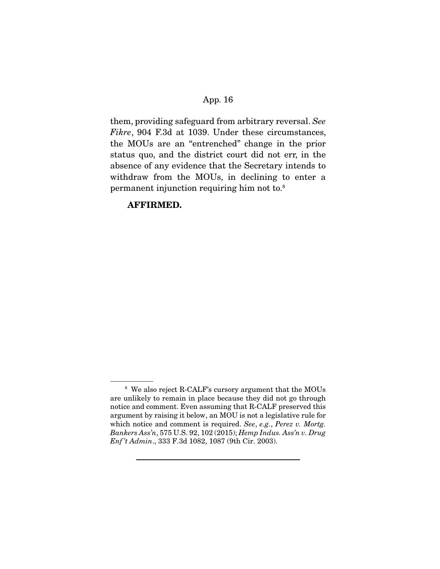them, providing safeguard from arbitrary reversal. *See Fikre*, 904 F.3d at 1039. Under these circumstances, the MOUs are an "entrenched" change in the prior status quo, and the district court did not err, in the absence of any evidence that the Secretary intends to withdraw from the MOUs, in declining to enter a permanent injunction requiring him not to.8

# **AFFIRMED.**

<sup>8</sup> We also reject R-CALF's cursory argument that the MOUs are unlikely to remain in place because they did not go through notice and comment. Even assuming that R-CALF preserved this argument by raising it below, an MOU is not a legislative rule for which notice and comment is required. *See*, *e.g.*, *Perez v. Mortg. Bankers Ass'n*, 575 U.S. 92, 102 (2015); *Hemp Indus. Ass'n v. Drug Enf 't Admin*., 333 F.3d 1082, 1087 (9th Cir. 2003).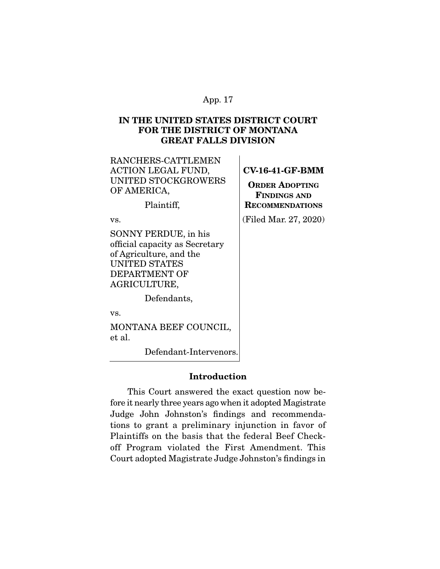# **IN THE UNITED STATES DISTRICT COURT FOR THE DISTRICT OF MONTANA GREAT FALLS DIVISION**

| RANCHERS-CATTLEMEN<br>ACTION LEGAL FUND,<br><b>UNITED STOCKGROWERS</b><br>OF AMERICA,<br>Plaintiff,                                               | $CV-16-4$<br><b>ORDER</b><br>FINDI<br><b>RECOMM</b> |
|---------------------------------------------------------------------------------------------------------------------------------------------------|-----------------------------------------------------|
| VS.                                                                                                                                               | (Filed Ma                                           |
| <b>SONNY PERDUE, in his</b><br>official capacity as Secretary<br>of Agriculture, and the<br><b>UNITED STATES</b><br>DEPARTMENT OF<br>AGRICULTURE, |                                                     |
| Defendants,                                                                                                                                       |                                                     |
| 17 C                                                                                                                                              |                                                     |

**1-GF-BMM** 

**ADOPTING FINDINGS AND RENDATIONS** 

ar. 27, 2020)

vs.

MONTANA BEEF COUNCIL, et al.

Defendant-Intervenors.

# **Introduction**

 This Court answered the exact question now before it nearly three years ago when it adopted Magistrate Judge John Johnston's findings and recommendations to grant a preliminary injunction in favor of Plaintiffs on the basis that the federal Beef Checkoff Program violated the First Amendment. This Court adopted Magistrate Judge Johnston's findings in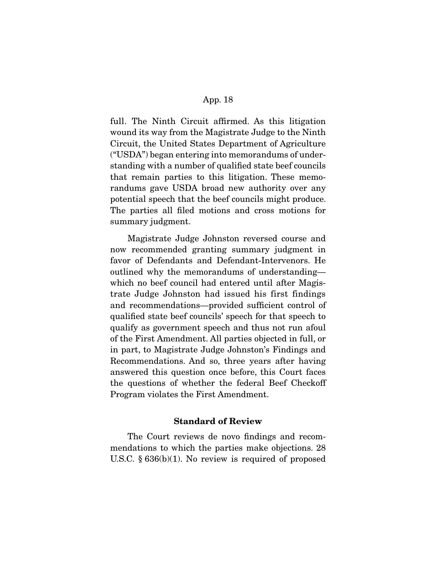full. The Ninth Circuit affirmed. As this litigation wound its way from the Magistrate Judge to the Ninth Circuit, the United States Department of Agriculture ("USDA") began entering into memorandums of understanding with a number of qualified state beef councils that remain parties to this litigation. These memorandums gave USDA broad new authority over any potential speech that the beef councils might produce. The parties all filed motions and cross motions for summary judgment.

 Magistrate Judge Johnston reversed course and now recommended granting summary judgment in favor of Defendants and Defendant-Intervenors. He outlined why the memorandums of understanding which no beef council had entered until after Magistrate Judge Johnston had issued his first findings and recommendations—provided sufficient control of qualified state beef councils' speech for that speech to qualify as government speech and thus not run afoul of the First Amendment. All parties objected in full, or in part, to Magistrate Judge Johnston's Findings and Recommendations. And so, three years after having answered this question once before, this Court faces the questions of whether the federal Beef Checkoff Program violates the First Amendment.

## **Standard of Review**

 The Court reviews de novo findings and recommendations to which the parties make objections. 28 U.S.C. § 636(b)(1). No review is required of proposed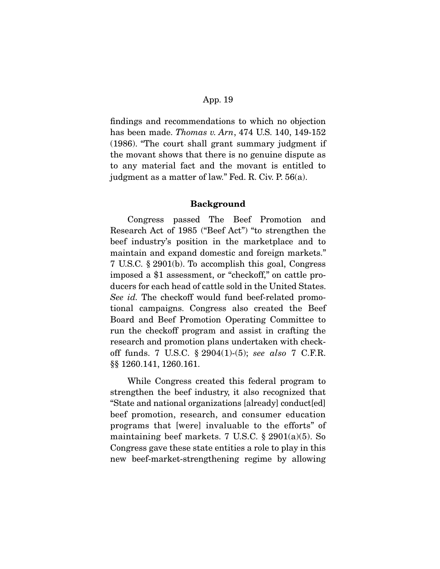findings and recommendations to which no objection has been made. *Thomas v. Arn*, 474 U.S. 140, 149-152 (1986). "The court shall grant summary judgment if the movant shows that there is no genuine dispute as to any material fact and the movant is entitled to judgment as a matter of law." Fed. R. Civ. P. 56(a).

#### **Background**

 Congress passed The Beef Promotion and Research Act of 1985 ("Beef Act") "to strengthen the beef industry's position in the marketplace and to maintain and expand domestic and foreign markets." 7 U.S.C. § 2901(b). To accomplish this goal, Congress imposed a \$1 assessment, or "checkoff," on cattle producers for each head of cattle sold in the United States. See id. The checkoff would fund beef-related promotional campaigns. Congress also created the Beef Board and Beef Promotion Operating Committee to run the checkoff program and assist in crafting the research and promotion plans undertaken with checkoff funds. 7 U.S.C. § 2904(1)-(5); see also 7 C.F.R. §§ 1260.141, 1260.161.

 While Congress created this federal program to strengthen the beef industry, it also recognized that "State and national organizations [already] conduct[ed] beef promotion, research, and consumer education programs that [were] invaluable to the efforts" of maintaining beef markets. 7 U.S.C. § 2901(a)(5). So Congress gave these state entities a role to play in this new beef-market-strengthening regime by allowing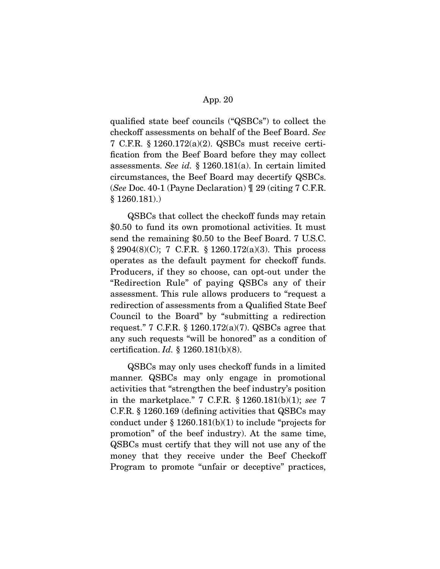qualified state beef councils ("QSBCs") to collect the checkoff assessments on behalf of the Beef Board. See 7 C.F.R. § 1260.172(a)(2). QSBCs must receive certification from the Beef Board before they may collect assessments. See id. § 1260.181(a). In certain limited circumstances, the Beef Board may decertify QSBCs. (See Doc. 40-1 (Payne Declaration) ¶ 29 (citing 7 C.F.R. § 1260.181).)

 QSBCs that collect the checkoff funds may retain \$0.50 to fund its own promotional activities. It must send the remaining \$0.50 to the Beef Board. 7 U.S.C. § 2904(8)(C); 7 C.F.R. § 1260.172(a)(3). This process operates as the default payment for checkoff funds. Producers, if they so choose, can opt-out under the "Redirection Rule" of paying QSBCs any of their assessment. This rule allows producers to "request a redirection of assessments from a Qualified State Beef Council to the Board" by "submitting a redirection request." 7 C.F.R. § 1260.172(a)(7). QSBCs agree that any such requests "will be honored" as a condition of certification.  $Id. \S$  1260.181(b)(8).

 QSBCs may only uses checkoff funds in a limited manner. QSBCs may only engage in promotional activities that "strengthen the beef industry's position in the marketplace." 7 C.F.R. § 1260.181(b)(1); see 7 C.F.R. § 1260.169 (defining activities that QSBCs may conduct under  $\S 1260.181(b)(1)$  to include "projects for promotion" of the beef industry). At the same time, QSBCs must certify that they will not use any of the money that they receive under the Beef Checkoff Program to promote "unfair or deceptive" practices,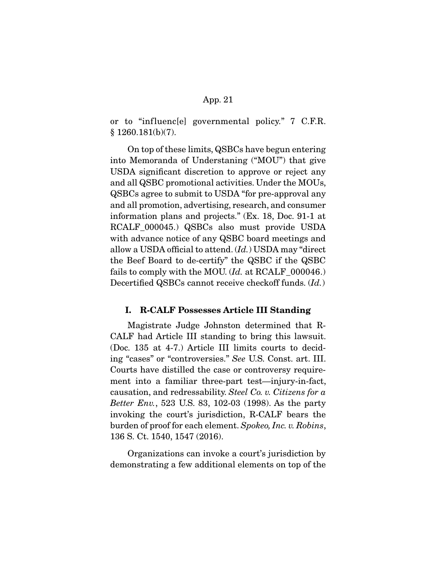or to "influenc[e] governmental policy." 7 C.F.R.  $§ 1260.181(b)(7).$ 

 On top of these limits, QSBCs have begun entering into Memoranda of Understaning ("MOU") that give USDA significant discretion to approve or reject any and all QSBC promotional activities. Under the MOUs, QSBCs agree to submit to USDA "for pre-approval any and all promotion, advertising, research, and consumer information plans and projects." (Ex. 18, Doc. 91-1 at RCALF\_000045.) QSBCs also must provide USDA with advance notice of any QSBC board meetings and allow a USDA official to attend.  $(Id.)$  USDA may "direct the Beef Board to de-certify" the QSBC if the QSBC fails to comply with the MOU. (Id. at RCALF\_000046.) Decertified QSBCs cannot receive checkoff funds. (*Id.*)

### **I. R-CALF Possesses Article III Standing**

 Magistrate Judge Johnston determined that R-CALF had Article III standing to bring this lawsuit. (Doc. 135 at 4-7.) Article III limits courts to deciding "cases" or "controversies." See U.S. Const. art. III. Courts have distilled the case or controversy requirement into a familiar three-part test—injury-in-fact, causation, and redressability. Steel Co. v. Citizens for a Better Env., 523 U.S. 83, 102-03 (1998). As the party invoking the court's jurisdiction, R-CALF bears the burden of proof for each element. Spokeo, Inc. v. Robins, 136 S. Ct. 1540, 1547 (2016).

 Organizations can invoke a court's jurisdiction by demonstrating a few additional elements on top of the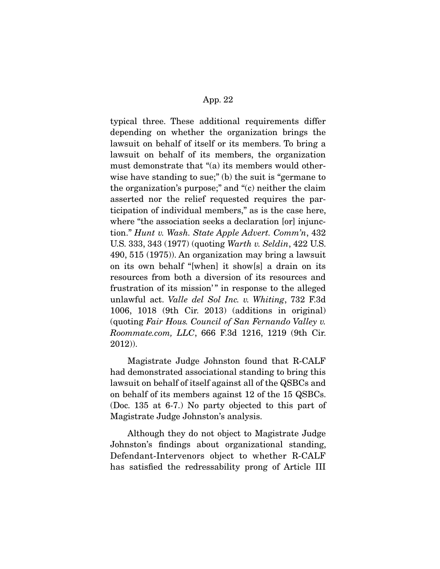typical three. These additional requirements differ depending on whether the organization brings the lawsuit on behalf of itself or its members. To bring a lawsuit on behalf of its members, the organization must demonstrate that "(a) its members would otherwise have standing to sue;" (b) the suit is "germane to the organization's purpose;" and "(c) neither the claim asserted nor the relief requested requires the participation of individual members," as is the case here, where "the association seeks a declaration [or] injunction." Hunt v. Wash. State Apple Advert. Comm'n, 432 U.S. 333, 343 (1977) (quoting Warth v. Seldin, 422 U.S. 490, 515 (1975)). An organization may bring a lawsuit on its own behalf "[when] it show[s] a drain on its resources from both a diversion of its resources and frustration of its mission'" in response to the alleged unlawful act. Valle del Sol Inc. v. Whiting, 732 F.3d 1006, 1018 (9th Cir. 2013) (additions in original) (quoting Fair Hous. Council of San Fernando Valley v. Roommate.com, LLC, 666 F.3d 1216, 1219 (9th Cir. 2012)).

 Magistrate Judge Johnston found that R-CALF had demonstrated associational standing to bring this lawsuit on behalf of itself against all of the QSBCs and on behalf of its members against 12 of the 15 QSBCs. (Doc. 135 at 6-7.) No party objected to this part of Magistrate Judge Johnston's analysis.

 Although they do not object to Magistrate Judge Johnston's findings about organizational standing, Defendant-Intervenors object to whether R-CALF has satisfied the redressability prong of Article III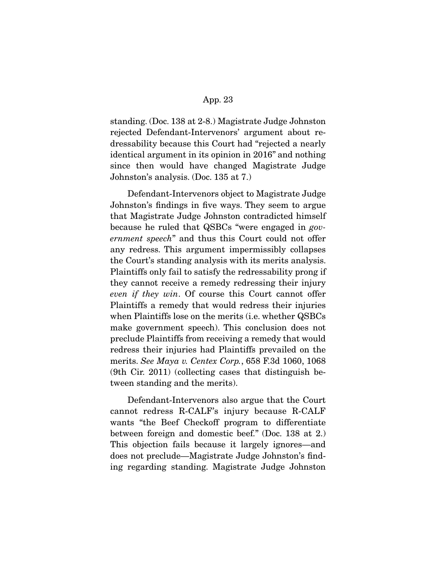standing. (Doc. 138 at 2-8.) Magistrate Judge Johnston rejected Defendant-Intervenors' argument about redressability because this Court had "rejected a nearly identical argument in its opinion in 2016" and nothing since then would have changed Magistrate Judge Johnston's analysis. (Doc. 135 at 7.)

 Defendant-Intervenors object to Magistrate Judge Johnston's findings in five ways. They seem to argue that Magistrate Judge Johnston contradicted himself because he ruled that QSBCs "were engaged in government speech" and thus this Court could not offer any redress. This argument impermissibly collapses the Court's standing analysis with its merits analysis. Plaintiffs only fail to satisfy the redressability prong if they cannot receive a remedy redressing their injury even if they win. Of course this Court cannot offer Plaintiffs a remedy that would redress their injuries when Plaintiffs lose on the merits (i.e. whether QSBCs make government speech). This conclusion does not preclude Plaintiffs from receiving a remedy that would redress their injuries had Plaintiffs prevailed on the merits. See Maya v. Centex Corp., 658 F.3d 1060, 1068 (9th Cir. 2011) (collecting cases that distinguish between standing and the merits).

 Defendant-Intervenors also argue that the Court cannot redress R-CALF's injury because R-CALF wants "the Beef Checkoff program to differentiate between foreign and domestic beef." (Doc. 138 at 2.) This objection fails because it largely ignores—and does not preclude—Magistrate Judge Johnston's finding regarding standing. Magistrate Judge Johnston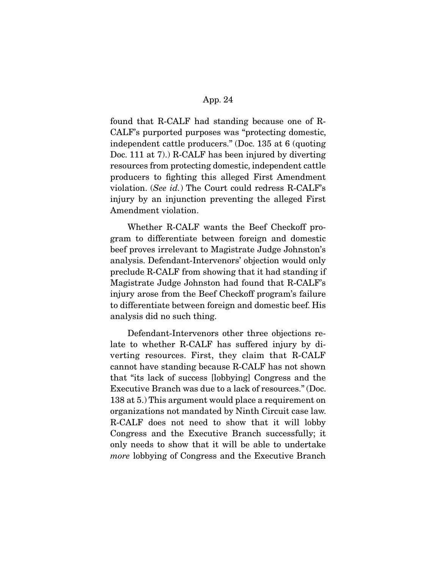found that R-CALF had standing because one of R-CALF's purported purposes was "protecting domestic, independent cattle producers." (Doc. 135 at 6 (quoting Doc. 111 at 7).) R-CALF has been injured by diverting resources from protecting domestic, independent cattle producers to fighting this alleged First Amendment violation. (See id.) The Court could redress R-CALF's injury by an injunction preventing the alleged First Amendment violation.

 Whether R-CALF wants the Beef Checkoff program to differentiate between foreign and domestic beef proves irrelevant to Magistrate Judge Johnston's analysis. Defendant-Intervenors' objection would only preclude R-CALF from showing that it had standing if Magistrate Judge Johnston had found that R-CALF's injury arose from the Beef Checkoff program's failure to differentiate between foreign and domestic beef. His analysis did no such thing.

 Defendant-Intervenors other three objections relate to whether R-CALF has suffered injury by diverting resources. First, they claim that R-CALF cannot have standing because R-CALF has not shown that "its lack of success [lobbying] Congress and the Executive Branch was due to a lack of resources." (Doc. 138 at 5.) This argument would place a requirement on organizations not mandated by Ninth Circuit case law. R-CALF does not need to show that it will lobby Congress and the Executive Branch successfully; it only needs to show that it will be able to undertake more lobbying of Congress and the Executive Branch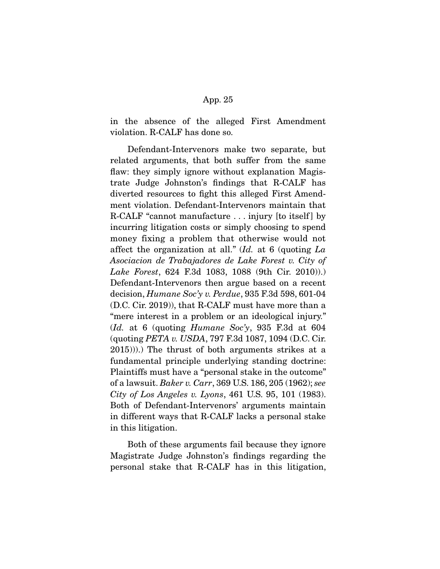in the absence of the alleged First Amendment violation. R-CALF has done so.

 Defendant-Intervenors make two separate, but related arguments, that both suffer from the same flaw: they simply ignore without explanation Magistrate Judge Johnston's findings that R-CALF has diverted resources to fight this alleged First Amendment violation. Defendant-Intervenors maintain that R-CALF "cannot manufacture . . . injury [to itself] by incurring litigation costs or simply choosing to spend money fixing a problem that otherwise would not affect the organization at all."  $Id.$  at 6 (quoting  $La$ Asociacion de Trabajadores de Lake Forest v. City of Lake Forest, 624 F.3d 1083, 1088 (9th Cir. 2010)).) Defendant-Intervenors then argue based on a recent decision, Humane Soc'y v. Perdue, 935 F.3d 598, 601-04 (D.C. Cir. 2019)), that R-CALF must have more than a "mere interest in a problem or an ideological injury."  $(Id.$  at 6 (quoting Humane Soc'y, 935 F.3d at 604 (quoting PETA v. USDA, 797 F.3d 1087, 1094 (D.C. Cir. 2015))).) The thrust of both arguments strikes at a fundamental principle underlying standing doctrine: Plaintiffs must have a "personal stake in the outcome" of a lawsuit. Baker v. Carr, 369 U.S. 186, 205 (1962); see City of Los Angeles v. Lyons, 461 U.S. 95, 101 (1983). Both of Defendant-Intervenors' arguments maintain in different ways that R-CALF lacks a personal stake in this litigation.

 Both of these arguments fail because they ignore Magistrate Judge Johnston's findings regarding the personal stake that R-CALF has in this litigation,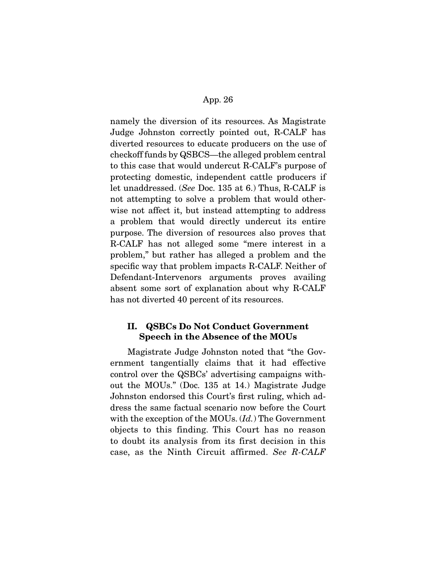namely the diversion of its resources. As Magistrate Judge Johnston correctly pointed out, R-CALF has diverted resources to educate producers on the use of checkoff funds by QSBCS—the alleged problem central to this case that would undercut R-CALF's purpose of protecting domestic, independent cattle producers if let unaddressed. (See Doc. 135 at 6.) Thus, R-CALF is not attempting to solve a problem that would otherwise not affect it, but instead attempting to address a problem that would directly undercut its entire purpose. The diversion of resources also proves that R-CALF has not alleged some "mere interest in a problem," but rather has alleged a problem and the specific way that problem impacts R-CALF. Neither of Defendant-Intervenors arguments proves availing absent some sort of explanation about why R-CALF has not diverted 40 percent of its resources.

# **II. QSBCs Do Not Conduct Government Speech in the Absence of the MOUs**

 Magistrate Judge Johnston noted that "the Government tangentially claims that it had effective control over the QSBCs' advertising campaigns without the MOUs." (Doc. 135 at 14.) Magistrate Judge Johnston endorsed this Court's first ruling, which address the same factual scenario now before the Court with the exception of the MOUs.  $(Id.)$  The Government objects to this finding. This Court has no reason to doubt its analysis from its first decision in this case, as the Ninth Circuit affirmed. See R-CALF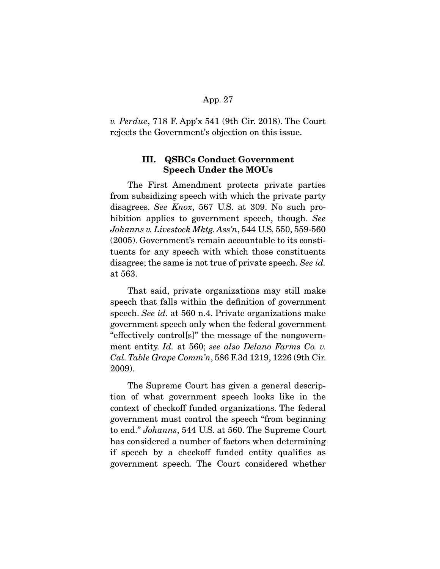v. Perdue, 718 F. App'x 541 (9th Cir. 2018). The Court rejects the Government's objection on this issue.

## **III. QSBCs Conduct Government Speech Under the MOUs**

 The First Amendment protects private parties from subsidizing speech with which the private party disagrees. See Knox, 567 U.S. at 309. No such prohibition applies to government speech, though. See Johanns v. Livestock Mktg. Ass'n, 544 U.S. 550, 559-560 (2005). Government's remain accountable to its constituents for any speech with which those constituents disagree; the same is not true of private speech. See id. at 563.

 That said, private organizations may still make speech that falls within the definition of government speech. See id. at 560 n.4. Private organizations make government speech only when the federal government "effectively control[s]" the message of the nongovernment entity. Id. at 560; see also Delano Farms Co. v. Cal. Table Grape Comm'n, 586 F.3d 1219, 1226 (9th Cir. 2009).

 The Supreme Court has given a general description of what government speech looks like in the context of checkoff funded organizations. The federal government must control the speech "from beginning to end." Johanns, 544 U.S. at 560. The Supreme Court has considered a number of factors when determining if speech by a checkoff funded entity qualifies as government speech. The Court considered whether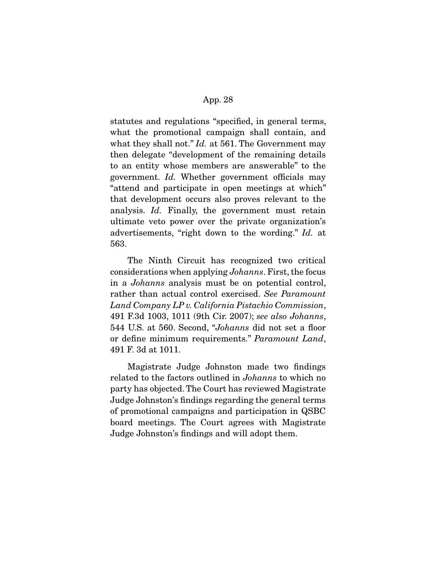statutes and regulations "specified, in general terms, what the promotional campaign shall contain, and what they shall not." Id. at 561. The Government may then delegate "development of the remaining details to an entity whose members are answerable" to the government. Id. Whether government officials may "attend and participate in open meetings at which" that development occurs also proves relevant to the analysis. Id. Finally, the government must retain ultimate veto power over the private organization's advertisements, "right down to the wording." Id. at 563.

 The Ninth Circuit has recognized two critical considerations when applying Johanns. First, the focus in a Johanns analysis must be on potential control, rather than actual control exercised. See Paramount Land Company LP v. California Pistachio Commission, 491 F.3d 1003, 1011 (9th Cir. 2007); see also Johanns, 544 U.S. at 560. Second, "Johanns did not set a floor or define minimum requirements." Paramount Land, 491 F. 3d at 1011.

 Magistrate Judge Johnston made two findings related to the factors outlined in Johanns to which no party has objected. The Court has reviewed Magistrate Judge Johnston's findings regarding the general terms of promotional campaigns and participation in QSBC board meetings. The Court agrees with Magistrate Judge Johnston's findings and will adopt them.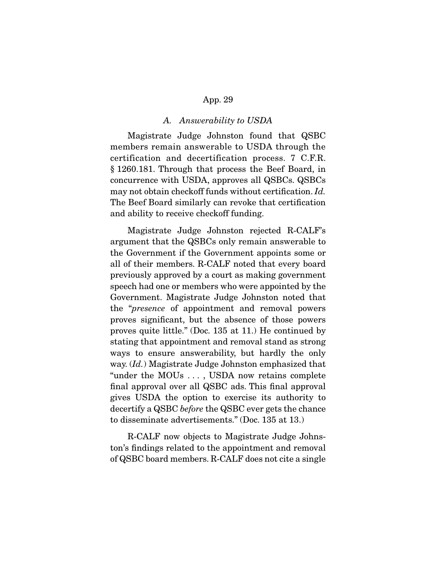### A. Answerability to USDA

 Magistrate Judge Johnston found that QSBC members remain answerable to USDA through the certification and decertification process. 7 C.F.R. § 1260.181. Through that process the Beef Board, in concurrence with USDA, approves all QSBCs. QSBCs may not obtain checkoff funds without certification. Id. The Beef Board similarly can revoke that certification and ability to receive checkoff funding.

 Magistrate Judge Johnston rejected R-CALF's argument that the QSBCs only remain answerable to the Government if the Government appoints some or all of their members. R-CALF noted that every board previously approved by a court as making government speech had one or members who were appointed by the Government. Magistrate Judge Johnston noted that the "presence of appointment and removal powers proves significant, but the absence of those powers proves quite little." (Doc. 135 at 11.) He continued by stating that appointment and removal stand as strong ways to ensure answerability, but hardly the only way. (Id.) Magistrate Judge Johnston emphasized that "under the MOUs . . . , USDA now retains complete final approval over all QSBC ads. This final approval gives USDA the option to exercise its authority to decertify a QSBC before the QSBC ever gets the chance to disseminate advertisements." (Doc. 135 at 13.)

 R-CALF now objects to Magistrate Judge Johnston's findings related to the appointment and removal of QSBC board members. R-CALF does not cite a single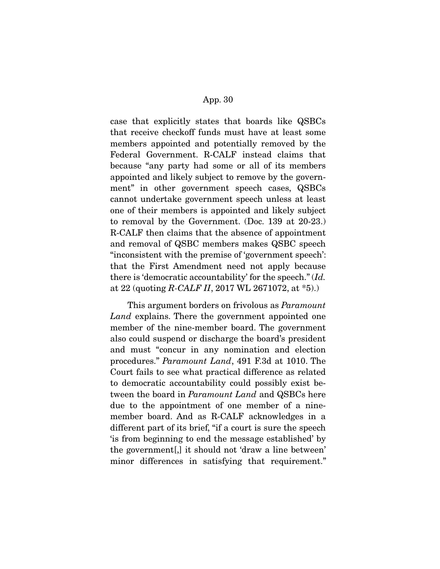case that explicitly states that boards like QSBCs that receive checkoff funds must have at least some members appointed and potentially removed by the Federal Government. R-CALF instead claims that because "any party had some or all of its members appointed and likely subject to remove by the government" in other government speech cases, QSBCs cannot undertake government speech unless at least one of their members is appointed and likely subject to removal by the Government. (Doc. 139 at 20-23.) R-CALF then claims that the absence of appointment and removal of QSBC members makes QSBC speech "inconsistent with the premise of 'government speech': that the First Amendment need not apply because there is 'democratic accountability' for the speech." (Id. at 22 (quoting R-CALF II, 2017 WL 2671072, at  $*5$ ).)

 This argument borders on frivolous as Paramount Land explains. There the government appointed one member of the nine-member board. The government also could suspend or discharge the board's president and must "concur in any nomination and election procedures." Paramount Land, 491 F.3d at 1010. The Court fails to see what practical difference as related to democratic accountability could possibly exist between the board in *Paramount Land* and QSBCs here due to the appointment of one member of a ninemember board. And as R-CALF acknowledges in a different part of its brief, "if a court is sure the speech 'is from beginning to end the message established' by the government[,] it should not 'draw a line between' minor differences in satisfying that requirement."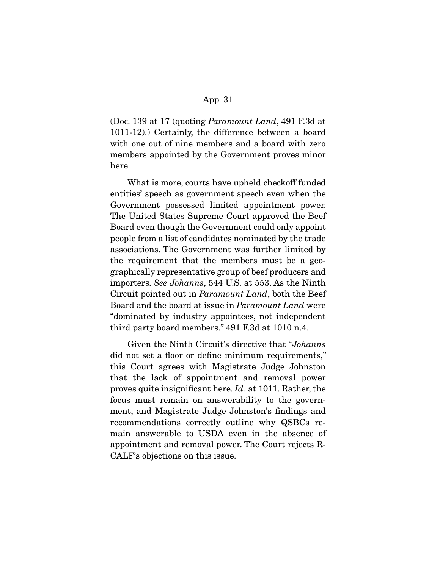(Doc. 139 at 17 (quoting Paramount Land, 491 F.3d at 1011-12).) Certainly, the difference between a board with one out of nine members and a board with zero members appointed by the Government proves minor here.

 What is more, courts have upheld checkoff funded entities' speech as government speech even when the Government possessed limited appointment power. The United States Supreme Court approved the Beef Board even though the Government could only appoint people from a list of candidates nominated by the trade associations. The Government was further limited by the requirement that the members must be a geographically representative group of beef producers and importers. See Johanns, 544 U.S. at 553. As the Ninth Circuit pointed out in Paramount Land, both the Beef Board and the board at issue in Paramount Land were "dominated by industry appointees, not independent third party board members." 491 F.3d at 1010 n.4.

 Given the Ninth Circuit's directive that "Johanns did not set a floor or define minimum requirements," this Court agrees with Magistrate Judge Johnston that the lack of appointment and removal power proves quite insignificant here. Id. at 1011. Rather, the focus must remain on answerability to the government, and Magistrate Judge Johnston's findings and recommendations correctly outline why QSBCs remain answerable to USDA even in the absence of appointment and removal power. The Court rejects R-CALF's objections on this issue.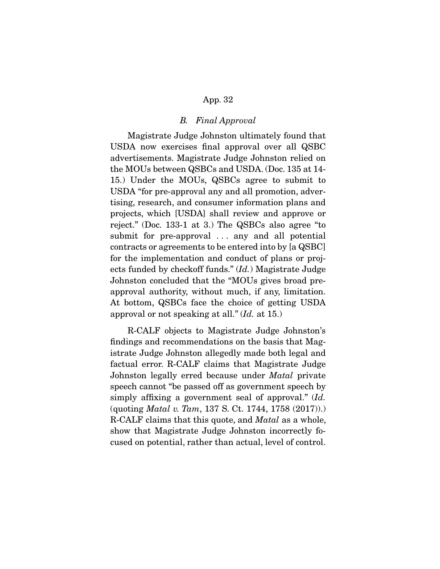### B. Final Approval

 Magistrate Judge Johnston ultimately found that USDA now exercises final approval over all QSBC advertisements. Magistrate Judge Johnston relied on the MOUs between QSBCs and USDA. (Doc. 135 at 14- 15.) Under the MOUs, QSBCs agree to submit to USDA "for pre-approval any and all promotion, advertising, research, and consumer information plans and projects, which [USDA] shall review and approve or reject." (Doc. 133-1 at 3.) The QSBCs also agree "to submit for pre-approval ... any and all potential contracts or agreements to be entered into by [a QSBC] for the implementation and conduct of plans or projects funded by checkoff funds." (Id.) Magistrate Judge Johnston concluded that the "MOUs gives broad preapproval authority, without much, if any, limitation. At bottom, QSBCs face the choice of getting USDA approval or not speaking at all." (Id. at 15.)

 R-CALF objects to Magistrate Judge Johnston's findings and recommendations on the basis that Magistrate Judge Johnston allegedly made both legal and factual error. R-CALF claims that Magistrate Judge Johnston legally erred because under *Matal* private speech cannot "be passed off as government speech by simply affixing a government seal of approval." (Id. (quoting Matal v. Tam, 137 S. Ct. 1744, 1758 (2017)).) R-CALF claims that this quote, and Matal as a whole, show that Magistrate Judge Johnston incorrectly focused on potential, rather than actual, level of control.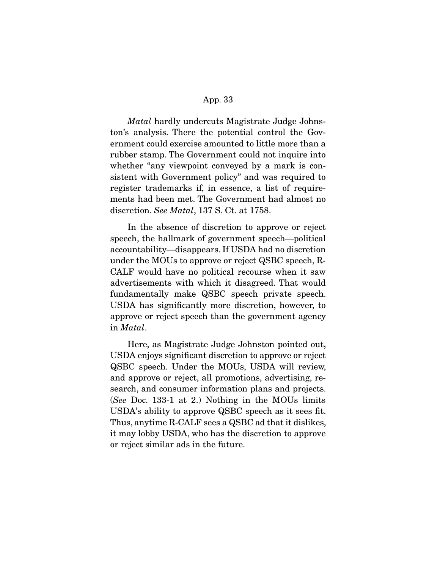Matal hardly undercuts Magistrate Judge Johnston's analysis. There the potential control the Government could exercise amounted to little more than a rubber stamp. The Government could not inquire into whether "any viewpoint conveyed by a mark is consistent with Government policy" and was required to register trademarks if, in essence, a list of requirements had been met. The Government had almost no discretion. See Matal, 137 S. Ct. at 1758.

 In the absence of discretion to approve or reject speech, the hallmark of government speech—political accountability—disappears. If USDA had no discretion under the MOUs to approve or reject QSBC speech, R-CALF would have no political recourse when it saw advertisements with which it disagreed. That would fundamentally make QSBC speech private speech. USDA has significantly more discretion, however, to approve or reject speech than the government agency in Matal.

 Here, as Magistrate Judge Johnston pointed out, USDA enjoys significant discretion to approve or reject QSBC speech. Under the MOUs, USDA will review, and approve or reject, all promotions, advertising, research, and consumer information plans and projects. (See Doc. 133-1 at 2.) Nothing in the MOUs limits USDA's ability to approve QSBC speech as it sees fit. Thus, anytime R-CALF sees a QSBC ad that it dislikes, it may lobby USDA, who has the discretion to approve or reject similar ads in the future.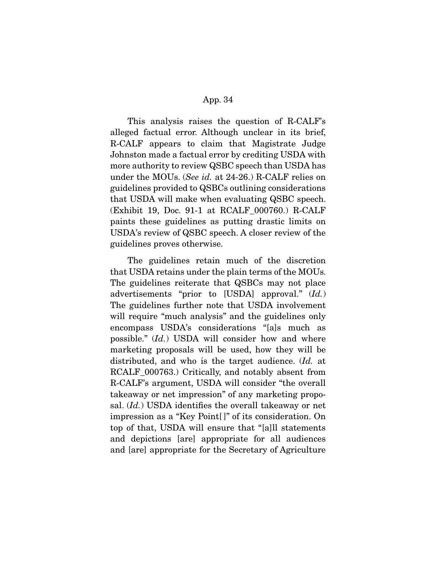This analysis raises the question of R-CALF's alleged factual error. Although unclear in its brief, R-CALF appears to claim that Magistrate Judge Johnston made a factual error by crediting USDA with more authority to review QSBC speech than USDA has under the MOUs. (See id. at 24-26.) R-CALF relies on guidelines provided to QSBCs outlining considerations that USDA will make when evaluating QSBC speech. (Exhibit 19, Doc. 91-1 at RCALF\_000760.) R-CALF paints these guidelines as putting drastic limits on USDA's review of QSBC speech. A closer review of the guidelines proves otherwise.

 The guidelines retain much of the discretion that USDA retains under the plain terms of the MOUs. The guidelines reiterate that QSBCs may not place advertisements "prior to [USDA] approval." (Id.) The guidelines further note that USDA involvement will require "much analysis" and the guidelines only encompass USDA's considerations "[a]s much as possible." (Id.) USDA will consider how and where marketing proposals will be used, how they will be distributed, and who is the target audience. (*Id.* at RCALF\_000763.) Critically, and notably absent from R-CALF's argument, USDA will consider "the overall takeaway or net impression" of any marketing proposal. (*Id.*) USDA identifies the overall takeaway or net impression as a "Key Point[ ]" of its consideration. On top of that, USDA will ensure that "[a]ll statements and depictions [are] appropriate for all audiences and [are] appropriate for the Secretary of Agriculture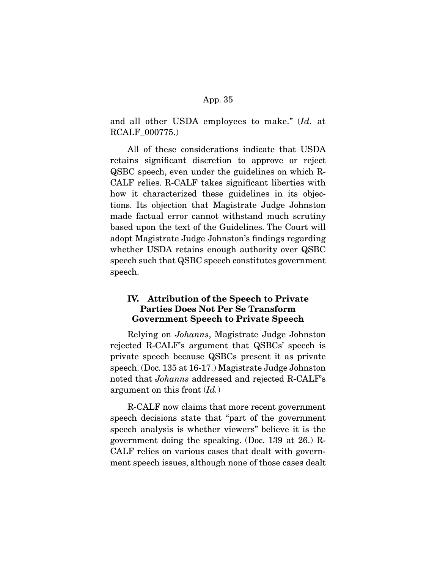and all other USDA employees to make." (Id. at RCALF\_000775.)

 All of these considerations indicate that USDA retains significant discretion to approve or reject QSBC speech, even under the guidelines on which R-CALF relies. R-CALF takes significant liberties with how it characterized these guidelines in its objections. Its objection that Magistrate Judge Johnston made factual error cannot withstand much scrutiny based upon the text of the Guidelines. The Court will adopt Magistrate Judge Johnston's findings regarding whether USDA retains enough authority over QSBC speech such that QSBC speech constitutes government speech.

# **IV. Attribution of the Speech to Private Parties Does Not Per Se Transform Government Speech to Private Speech**

 Relying on Johanns, Magistrate Judge Johnston rejected R-CALF's argument that QSBCs' speech is private speech because QSBCs present it as private speech. (Doc. 135 at 16-17.) Magistrate Judge Johnston noted that Johanns addressed and rejected R-CALF's argument on this front  $Id.$ )

 R-CALF now claims that more recent government speech decisions state that "part of the government speech analysis is whether viewers" believe it is the government doing the speaking. (Doc. 139 at 26.) R-CALF relies on various cases that dealt with government speech issues, although none of those cases dealt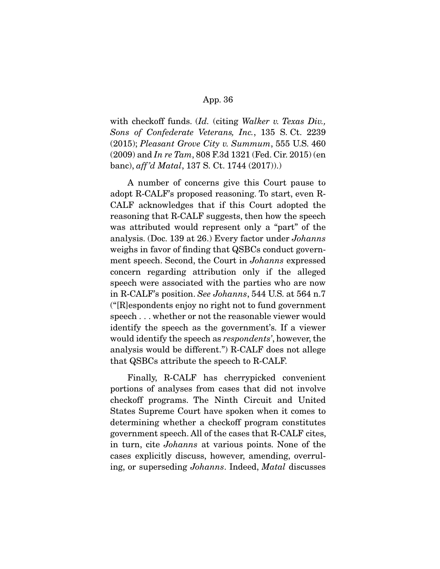with checkoff funds. (Id. (citing Walker v. Texas Div., Sons of Confederate Veterans, Inc., 135 S. Ct. 2239 (2015); Pleasant Grove City v. Summum, 555 U.S. 460  $(2009)$  and In re Tam, 808 F.3d 1321 (Fed. Cir. 2015) (en banc), aff 'd Matal, 137 S. Ct. 1744 (2017)).)

 A number of concerns give this Court pause to adopt R-CALF's proposed reasoning. To start, even R-CALF acknowledges that if this Court adopted the reasoning that R-CALF suggests, then how the speech was attributed would represent only a "part" of the analysis. (Doc. 139 at 26.) Every factor under Johanns weighs in favor of finding that QSBCs conduct government speech. Second, the Court in Johanns expressed concern regarding attribution only if the alleged speech were associated with the parties who are now in R-CALF's position. See Johanns, 544 U.S. at 564 n.7 ("[R]espondents enjoy no right not to fund government speech . . . whether or not the reasonable viewer would identify the speech as the government's. If a viewer would identify the speech as respondents', however, the analysis would be different.") R-CALF does not allege that QSBCs attribute the speech to R-CALF.

 Finally, R-CALF has cherrypicked convenient portions of analyses from cases that did not involve checkoff programs. The Ninth Circuit and United States Supreme Court have spoken when it comes to determining whether a checkoff program constitutes government speech. All of the cases that R-CALF cites, in turn, cite Johanns at various points. None of the cases explicitly discuss, however, amending, overruling, or superseding Johanns. Indeed, Matal discusses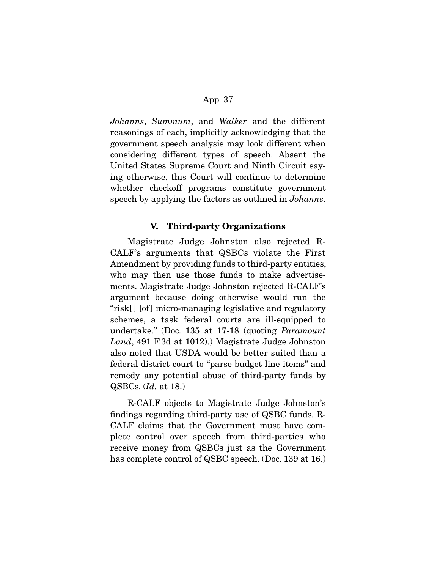Johanns, Summum, and Walker and the different reasonings of each, implicitly acknowledging that the government speech analysis may look different when considering different types of speech. Absent the United States Supreme Court and Ninth Circuit saying otherwise, this Court will continue to determine whether checkoff programs constitute government speech by applying the factors as outlined in Johanns.

# **V. Third-party Organizations**

 Magistrate Judge Johnston also rejected R-CALF's arguments that QSBCs violate the First Amendment by providing funds to third-party entities, who may then use those funds to make advertisements. Magistrate Judge Johnston rejected R-CALF's argument because doing otherwise would run the "risk[ ] [of ] micro-managing legislative and regulatory schemes, a task federal courts are ill-equipped to undertake." (Doc. 135 at 17-18 (quoting Paramount Land, 491 F.3d at 1012).) Magistrate Judge Johnston also noted that USDA would be better suited than a federal district court to "parse budget line items" and remedy any potential abuse of third-party funds by QSBCs. (Id. at 18.)

 R-CALF objects to Magistrate Judge Johnston's findings regarding third-party use of QSBC funds. R-CALF claims that the Government must have complete control over speech from third-parties who receive money from QSBCs just as the Government has complete control of QSBC speech. (Doc. 139 at 16.)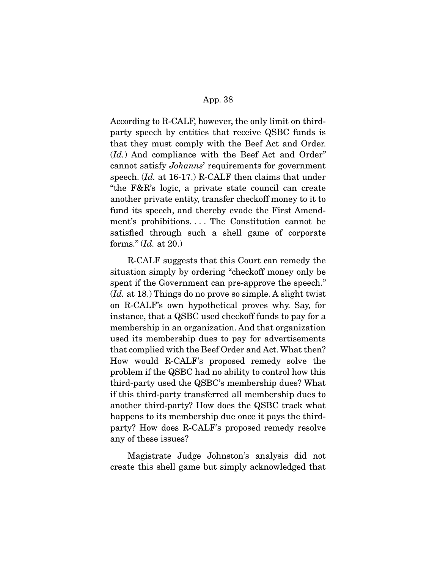According to R-CALF, however, the only limit on thirdparty speech by entities that receive QSBC funds is that they must comply with the Beef Act and Order. (*Id.*) And compliance with the Beef Act and Order" cannot satisfy Johanns' requirements for government speech. (Id. at 16-17.) R-CALF then claims that under "the F&R's logic, a private state council can create another private entity, transfer checkoff money to it to fund its speech, and thereby evade the First Amendment's prohibitions. . . . The Constitution cannot be satisfied through such a shell game of corporate forms."  $Id.$  at 20.)

 R-CALF suggests that this Court can remedy the situation simply by ordering "checkoff money only be spent if the Government can pre-approve the speech." (Id. at 18.) Things do no prove so simple. A slight twist on R-CALF's own hypothetical proves why. Say, for instance, that a QSBC used checkoff funds to pay for a membership in an organization. And that organization used its membership dues to pay for advertisements that complied with the Beef Order and Act. What then? How would R-CALF's proposed remedy solve the problem if the QSBC had no ability to control how this third-party used the QSBC's membership dues? What if this third-party transferred all membership dues to another third-party? How does the QSBC track what happens to its membership due once it pays the thirdparty? How does R-CALF's proposed remedy resolve any of these issues?

 Magistrate Judge Johnston's analysis did not create this shell game but simply acknowledged that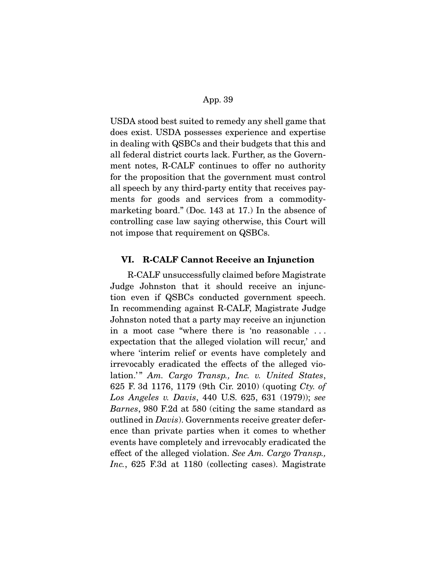USDA stood best suited to remedy any shell game that does exist. USDA possesses experience and expertise in dealing with QSBCs and their budgets that this and all federal district courts lack. Further, as the Government notes, R-CALF continues to offer no authority for the proposition that the government must control all speech by any third-party entity that receives payments for goods and services from a commoditymarketing board." (Doc. 143 at 17.) In the absence of controlling case law saying otherwise, this Court will not impose that requirement on QSBCs.

## **VI. R-CALF Cannot Receive an Injunction**

 R-CALF unsuccessfully claimed before Magistrate Judge Johnston that it should receive an injunction even if QSBCs conducted government speech. In recommending against R-CALF, Magistrate Judge Johnston noted that a party may receive an injunction in a moot case "where there is 'no reasonable . . . expectation that the alleged violation will recur,' and where 'interim relief or events have completely and irrevocably eradicated the effects of the alleged violation.'" Am. Cargo Transp., Inc. v. United States, 625 F. 3d 1176, 1179 (9th Cir. 2010) (quoting Cty. of Los Angeles v. Davis, 440 U.S. 625, 631 (1979)); see Barnes, 980 F.2d at 580 (citing the same standard as outlined in *Davis*). Governments receive greater deference than private parties when it comes to whether events have completely and irrevocably eradicated the effect of the alleged violation. See Am. Cargo Transp., Inc., 625 F.3d at 1180 (collecting cases). Magistrate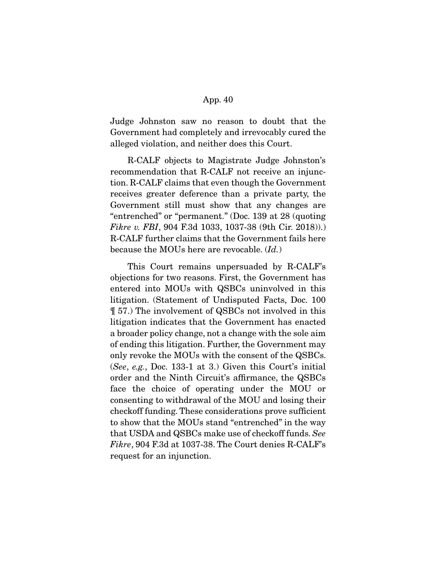Judge Johnston saw no reason to doubt that the Government had completely and irrevocably cured the alleged violation, and neither does this Court.

 R-CALF objects to Magistrate Judge Johnston's recommendation that R-CALF not receive an injunction. R-CALF claims that even though the Government receives greater deference than a private party, the Government still must show that any changes are "entrenched" or "permanent." (Doc. 139 at 28 (quoting Fikre v. FBI, 904 F.3d 1033, 1037-38 (9th Cir. 2018)). R-CALF further claims that the Government fails here because the MOUs here are revocable. (Id.)

 This Court remains unpersuaded by R-CALF's objections for two reasons. First, the Government has entered into MOUs with QSBCs uninvolved in this litigation. (Statement of Undisputed Facts, Doc. 100 ¶ 57.) The involvement of QSBCs not involved in this litigation indicates that the Government has enacted a broader policy change, not a change with the sole aim of ending this litigation. Further, the Government may only revoke the MOUs with the consent of the QSBCs. (See, e.g., Doc. 133-1 at 3.) Given this Court's initial order and the Ninth Circuit's affirmance, the QSBCs face the choice of operating under the MOU or consenting to withdrawal of the MOU and losing their checkoff funding. These considerations prove sufficient to show that the MOUs stand "entrenched" in the way that USDA and QSBCs make use of checkoff funds. See Fikre, 904 F.3d at 1037-38. The Court denies R-CALF's request for an injunction.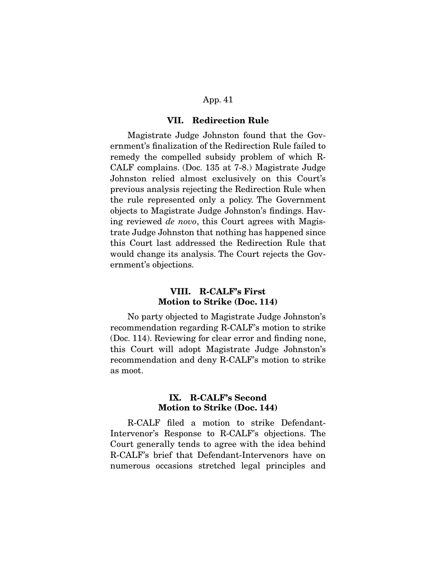#### **VII. Redirection Rule**

 Magistrate Judge Johnston found that the Government's finalization of the Redirection Rule failed to remedy the compelled subsidy problem of which R-CALF complains. (Doc. 135 at 7-8.) Magistrate Judge Johnston relied almost exclusively on this Court's previous analysis rejecting the Redirection Rule when the rule represented only a policy. The Government objects to Magistrate Judge Johnston's findings. Having reviewed de novo, this Court agrees with Magistrate Judge Johnston that nothing has happened since this Court last addressed the Redirection Rule that would change its analysis. The Court rejects the Government's objections.

# **VIII. R-CALF's First Motion to Strike (Doc. 114)**

 No party objected to Magistrate Judge Johnston's recommendation regarding R-CALF's motion to strike (Doc. 114). Reviewing for clear error and finding none, this Court will adopt Magistrate Judge Johnston's recommendation and deny R-CALF's motion to strike as moot.

## **IX. R-CALF's Second Motion to Strike (Doc. 144)**

 R-CALF filed a motion to strike Defendant-Intervenor's Response to R-CALF's objections. The Court generally tends to agree with the idea behind R-CALF's brief that Defendant-Intervenors have on numerous occasions stretched legal principles and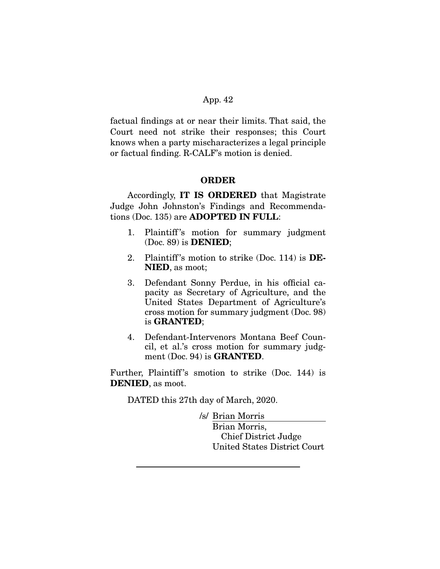factual findings at or near their limits. That said, the Court need not strike their responses; this Court knows when a party mischaracterizes a legal principle or factual finding. R-CALF's motion is denied.

## **ORDER**

 Accordingly, **IT IS ORDERED** that Magistrate Judge John Johnston's Findings and Recommendations (Doc. 135) are **ADOPTED IN FULL**:

- 1. Plaintiff's motion for summary judgment (Doc. 89) is **DENIED**;
- 2. Plaintiff 's motion to strike (Doc. 114) is **DE-NIED**, as moot;
- 3. Defendant Sonny Perdue, in his official capacity as Secretary of Agriculture, and the United States Department of Agriculture's cross motion for summary judgment (Doc. 98) is **GRANTED**;
- 4. Defendant-Intervenors Montana Beef Council, et al.'s cross motion for summary judgment (Doc. 94) is **GRANTED**.

Further, Plaintiff's smotion to strike (Doc. 144) is **DENIED**, as moot.

DATED this 27th day of March, 2020.

/s/ Brian Morris Brian Morris, Chief District Judge United States District Court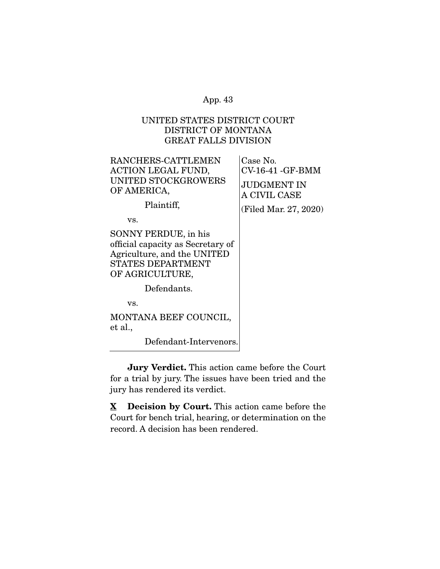# UNITED STATES DISTRICT COURT DISTRICT OF MONTANA GREAT FALLS DIVISION

| RANCHERS-CATTLEMEN<br><b>ACTION LEGAL FUND,</b><br>UNITED STOCKGROWERS<br>OF AMERICA,<br>Plaintiff,                                     | Case No.<br>$CV-16-41 - GF-BMM$<br>JUDGMENT IN<br>A CIVIL CASE<br>(Filed Mar. 27, 2020) |
|-----------------------------------------------------------------------------------------------------------------------------------------|-----------------------------------------------------------------------------------------|
| VS.                                                                                                                                     |                                                                                         |
| SONNY PERDUE, in his<br>official capacity as Secretary of<br>Agriculture, and the UNITED<br><b>STATES DEPARTMENT</b><br>OF AGRICULTURE, |                                                                                         |
| Defendants.                                                                                                                             |                                                                                         |
| VS.                                                                                                                                     |                                                                                         |
| MONTANA BEEF COUNCIL,<br>et al.,                                                                                                        |                                                                                         |
| Defendant-Intervenors.                                                                                                                  |                                                                                         |
|                                                                                                                                         |                                                                                         |

**Jury Verdict.** This action came before the Court for a trial by jury. The issues have been tried and the jury has rendered its verdict.

**X Decision by Court.** This action came before the Court for bench trial, hearing, or determination on the record. A decision has been rendered.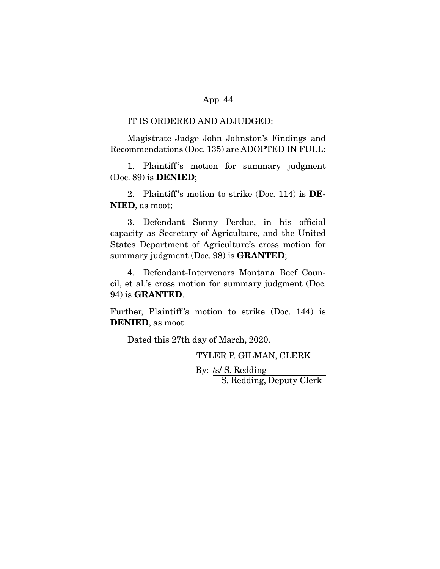#### IT IS ORDERED AND ADJUDGED:

 Magistrate Judge John Johnston's Findings and Recommendations (Doc. 135) are ADOPTED IN FULL:

1. Plaintiff's motion for summary judgment (Doc. 89) is **DENIED**;

 2. Plaintiff 's motion to strike (Doc. 114) is **DE-NIED**, as moot;

 3. Defendant Sonny Perdue, in his official capacity as Secretary of Agriculture, and the United States Department of Agriculture's cross motion for summary judgment (Doc. 98) is **GRANTED**;

 4. Defendant-Intervenors Montana Beef Council, et al.'s cross motion for summary judgment (Doc. 94) is **GRANTED**.

Further, Plaintiff's motion to strike (Doc. 144) is **DENIED**, as moot.

Dated this 27th day of March, 2020.

TYLER P. GILMAN, CLERK

 By: /s/ S. Redding S. Redding, Deputy Clerk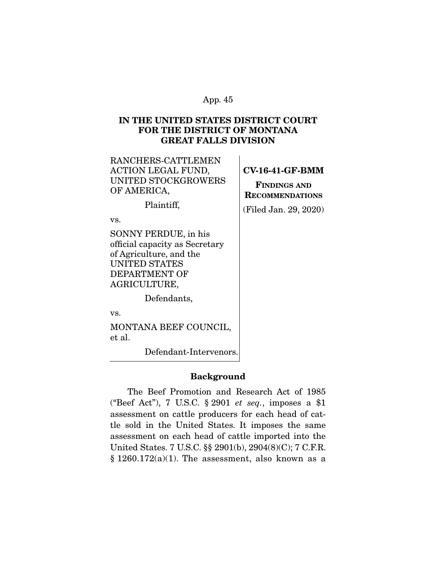# **IN THE UNITED STATES DISTRICT COURT FOR THE DISTRICT OF MONTANA GREAT FALLS DIVISION**

| RANCHERS-CATTLEMEN        |  |
|---------------------------|--|
| <b>ACTION LEGAL FUND,</b> |  |
| UNITED STOCKGROWERS       |  |
| OF AMERICA,               |  |
|                           |  |

Plaintiff,

vs.

SONNY PERDUE, in his official capacity as Secretary of Agriculture, and the UNITED STATES DEPARTMENT OF AGRICULTURE,

Defendants,

vs.

MONTANA BEEF COUNCIL, et al.

Defendant-Intervenors.

## **Background**

 The Beef Promotion and Research Act of 1985 ("Beef Act"), 7 U.S.C. § 2901 et seq., imposes a \$1 assessment on cattle producers for each head of cattle sold in the United States. It imposes the same assessment on each head of cattle imported into the United States. 7 U.S.C. §§ 2901(b), 2904(8)(C); 7 C.F.R.  $§ 1260.172(a)(1)$ . The assessment, also known as a

## **CV-16-41-GF-BMM**

**FINDINGS AND RECOMMENDATIONS** (Filed Jan. 29, 2020)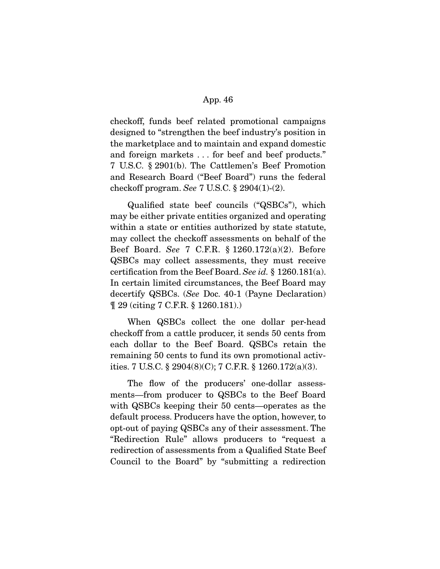checkoff, funds beef related promotional campaigns designed to "strengthen the beef industry's position in the marketplace and to maintain and expand domestic and foreign markets . . . for beef and beef products." 7 U.S.C. § 2901(b). The Cattlemen's Beef Promotion and Research Board ("Beef Board") runs the federal checkoff program. See 7 U.S.C. § 2904(1)-(2).

 Qualified state beef councils ("QSBCs"), which may be either private entities organized and operating within a state or entities authorized by state statute, may collect the checkoff assessments on behalf of the Beef Board. See 7 C.F.R. § 1260.172(a)(2). Before QSBCs may collect assessments, they must receive certification from the Beef Board. See id. § 1260.181(a). In certain limited circumstances, the Beef Board may decertify QSBCs. (See Doc. 40-1 (Payne Declaration) ¶ 29 (citing 7 C.F.R. § 1260.181).)

 When QSBCs collect the one dollar per-head checkoff from a cattle producer, it sends 50 cents from each dollar to the Beef Board. QSBCs retain the remaining 50 cents to fund its own promotional activities. 7 U.S.C. § 2904(8)(C); 7 C.F.R. § 1260.172(a)(3).

 The flow of the producers' one-dollar assessments—from producer to QSBCs to the Beef Board with QSBCs keeping their 50 cents—operates as the default process. Producers have the option, however, to opt-out of paying QSBCs any of their assessment. The "Redirection Rule" allows producers to "request a redirection of assessments from a Qualified State Beef Council to the Board" by "submitting a redirection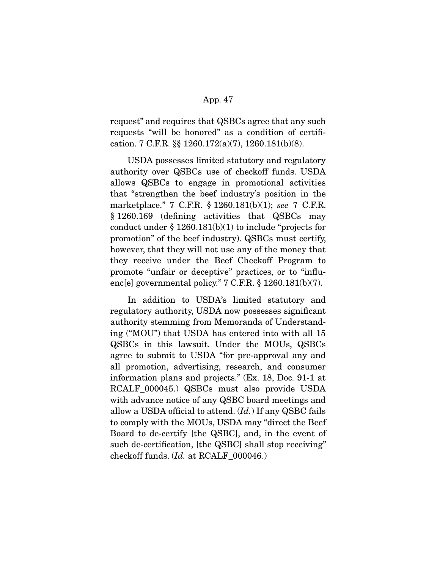request" and requires that QSBCs agree that any such requests "will be honored" as a condition of certification. 7 C.F.R. §§ 1260.172(a)(7), 1260.181(b)(8).

 USDA possesses limited statutory and regulatory authority over QSBCs use of checkoff funds. USDA allows QSBCs to engage in promotional activities that "strengthen the beef industry's position in the marketplace." 7 C.F.R. § 1260.181(b)(1); see 7 C.F.R. § 1260.169 (defining activities that QSBCs may conduct under  $\S 1260.181(b)(1)$  to include "projects for promotion" of the beef industry). QSBCs must certify, however, that they will not use any of the money that they receive under the Beef Checkoff Program to promote "unfair or deceptive" practices, or to "influenc[e] governmental policy." 7 C.F.R. § 1260.181(b)(7).

 In addition to USDA's limited statutory and regulatory authority, USDA now possesses significant authority stemming from Memoranda of Understanding ("MOU") that USDA has entered into with all 15 QSBCs in this lawsuit. Under the MOUs, QSBCs agree to submit to USDA "for pre-approval any and all promotion, advertising, research, and consumer information plans and projects." (Ex. 18, Doc. 91-1 at RCALF\_000045.) QSBCs must also provide USDA with advance notice of any QSBC board meetings and allow a USDA official to attend.  $(Id.)$  If any QSBC fails to comply with the MOUs, USDA may "direct the Beef Board to de-certify [the QSBC], and, in the event of such de-certification, [the QSBC] shall stop receiving" checkoff funds. (Id. at RCALF\_000046.)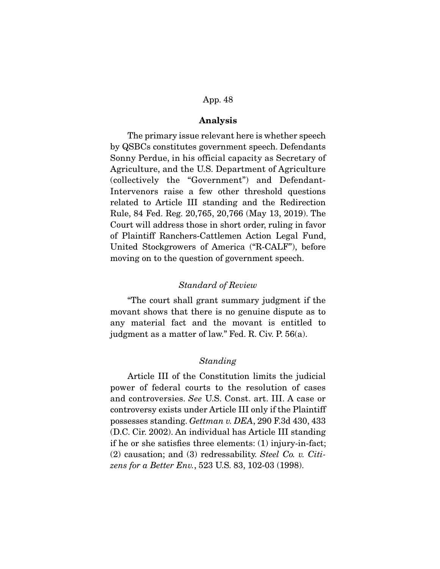## **Analysis**

 The primary issue relevant here is whether speech by QSBCs constitutes government speech. Defendants Sonny Perdue, in his official capacity as Secretary of Agriculture, and the U.S. Department of Agriculture (collectively the "Government") and Defendant-Intervenors raise a few other threshold questions related to Article III standing and the Redirection Rule, 84 Fed. Reg. 20,765, 20,766 (May 13, 2019). The Court will address those in short order, ruling in favor of Plaintiff Ranchers-Cattlemen Action Legal Fund, United Stockgrowers of America ("R-CALF"), before moving on to the question of government speech.

## Standard of Review

 "The court shall grant summary judgment if the movant shows that there is no genuine dispute as to any material fact and the movant is entitled to judgment as a matter of law." Fed. R. Civ. P. 56(a).

#### Standing

 Article III of the Constitution limits the judicial power of federal courts to the resolution of cases and controversies. See U.S. Const. art. III. A case or controversy exists under Article III only if the Plaintiff possesses standing. Gettman v. DEA, 290 F.3d 430, 433 (D.C. Cir. 2002). An individual has Article III standing if he or she satisfies three elements: (1) injury-in-fact; (2) causation; and (3) redressability. Steel Co. v. Citizens for a Better Env., 523 U.S. 83, 102-03 (1998).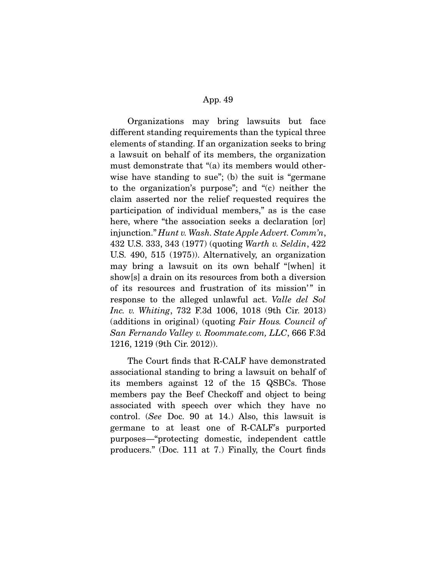Organizations may bring lawsuits but face different standing requirements than the typical three elements of standing. If an organization seeks to bring a lawsuit on behalf of its members, the organization must demonstrate that "(a) its members would otherwise have standing to sue"; (b) the suit is "germane" to the organization's purpose"; and "(c) neither the claim asserted nor the relief requested requires the participation of individual members," as is the case here, where "the association seeks a declaration [or] injunction." Hunt v. Wash. State Apple Advert. Comm'n, 432 U.S. 333, 343 (1977) (quoting Warth v. Seldin, 422 U.S. 490, 515 (1975)). Alternatively, an organization may bring a lawsuit on its own behalf "[when] it show[s] a drain on its resources from both a diversion of its resources and frustration of its mission'" in response to the alleged unlawful act. Valle del Sol Inc. v. Whiting, 732 F.3d 1006, 1018 (9th Cir. 2013) (additions in original) (quoting Fair Hous. Council of San Fernando Valley v. Roommate.com, LLC, 666 F.3d 1216, 1219 (9th Cir. 2012)).

 The Court finds that R-CALF have demonstrated associational standing to bring a lawsuit on behalf of its members against 12 of the 15 QSBCs. Those members pay the Beef Checkoff and object to being associated with speech over which they have no control. (See Doc. 90 at 14.) Also, this lawsuit is germane to at least one of R-CALF's purported purposes—"protecting domestic, independent cattle producers." (Doc. 111 at 7.) Finally, the Court finds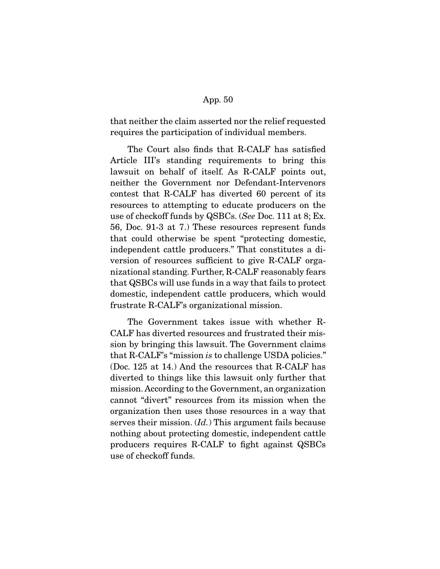that neither the claim asserted nor the relief requested requires the participation of individual members.

 The Court also finds that R-CALF has satisfied Article III's standing requirements to bring this lawsuit on behalf of itself. As R-CALF points out, neither the Government nor Defendant-Intervenors contest that R-CALF has diverted 60 percent of its resources to attempting to educate producers on the use of checkoff funds by QSBCs. (See Doc. 111 at 8; Ex. 56, Doc. 91-3 at 7.) These resources represent funds that could otherwise be spent "protecting domestic, independent cattle producers." That constitutes a diversion of resources sufficient to give R-CALF organizational standing. Further, R-CALF reasonably fears that QSBCs will use funds in a way that fails to protect domestic, independent cattle producers, which would frustrate R-CALF's organizational mission.

 The Government takes issue with whether R-CALF has diverted resources and frustrated their mission by bringing this lawsuit. The Government claims that R-CALF's "mission is to challenge USDA policies." (Doc. 125 at 14.) And the resources that R-CALF has diverted to things like this lawsuit only further that mission. According to the Government, an organization cannot "divert" resources from its mission when the organization then uses those resources in a way that serves their mission. (*Id.*) This argument fails because nothing about protecting domestic, independent cattle producers requires R-CALF to fight against QSBCs use of checkoff funds.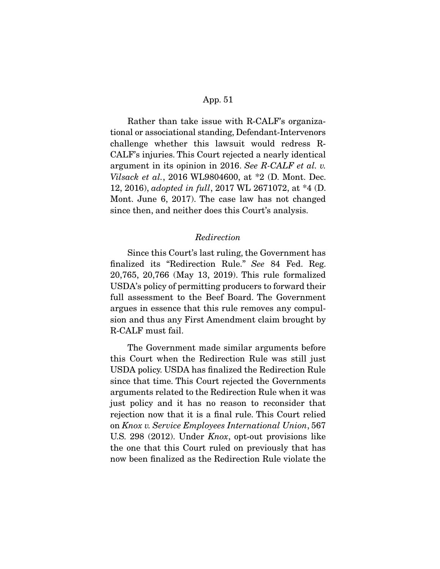Rather than take issue with R-CALF's organizational or associational standing, Defendant-Intervenors challenge whether this lawsuit would redress R-CALF's injuries. This Court rejected a nearly identical argument in its opinion in 2016. See R-CALF et al. v. Vilsack et al., 2016 WL9804600, at \*2 (D. Mont. Dec. 12, 2016), adopted in full, 2017 WL 2671072, at \*4 (D. Mont. June 6, 2017). The case law has not changed since then, and neither does this Court's analysis.

## Redirection

 Since this Court's last ruling, the Government has finalized its "Redirection Rule." See 84 Fed. Reg. 20,765, 20,766 (May 13, 2019). This rule formalized USDA's policy of permitting producers to forward their full assessment to the Beef Board. The Government argues in essence that this rule removes any compulsion and thus any First Amendment claim brought by R-CALF must fail.

 The Government made similar arguments before this Court when the Redirection Rule was still just USDA policy. USDA has finalized the Redirection Rule since that time. This Court rejected the Governments arguments related to the Redirection Rule when it was just policy and it has no reason to reconsider that rejection now that it is a final rule. This Court relied on Knox v. Service Employees International Union, 567 U.S. 298 (2012). Under Knox, opt-out provisions like the one that this Court ruled on previously that has now been finalized as the Redirection Rule violate the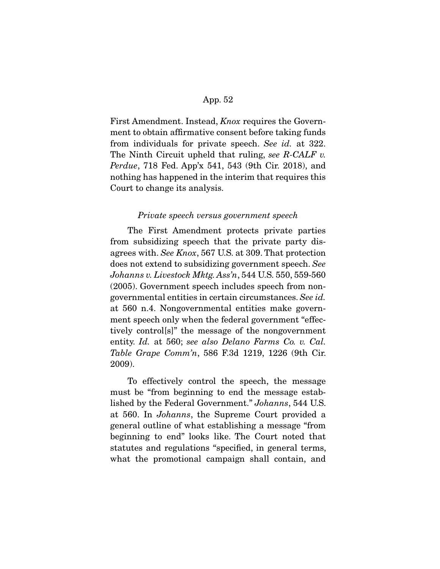First Amendment. Instead, *Knox* requires the Government to obtain affirmative consent before taking funds from individuals for private speech. See id. at 322. The Ninth Circuit upheld that ruling, see  $R$ -CALF v. Perdue, 718 Fed. App'x 541, 543 (9th Cir. 2018), and nothing has happened in the interim that requires this Court to change its analysis.

#### Private speech versus government speech

 The First Amendment protects private parties from subsidizing speech that the private party disagrees with. See Knox, 567 U.S. at 309. That protection does not extend to subsidizing government speech. See Johanns v. Livestock Mktg. Ass'n, 544 U.S. 550, 559-560 (2005). Government speech includes speech from nongovernmental entities in certain circumstances. See id. at 560 n.4. Nongovernmental entities make government speech only when the federal government "effectively control[s]" the message of the nongovernment entity. Id. at 560; see also Delano Farms Co. v. Cal. Table Grape Comm'n, 586 F.3d 1219, 1226 (9th Cir. 2009).

 To effectively control the speech, the message must be "from beginning to end the message established by the Federal Government." Johanns, 544 U.S. at 560. In Johanns, the Supreme Court provided a general outline of what establishing a message "from beginning to end" looks like. The Court noted that statutes and regulations "specified, in general terms, what the promotional campaign shall contain, and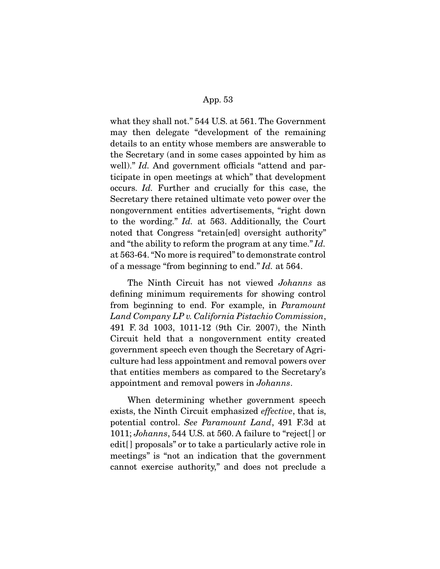what they shall not." 544 U.S. at 561. The Government may then delegate "development of the remaining details to an entity whose members are answerable to the Secretary (and in some cases appointed by him as well)." Id. And government officials "attend and participate in open meetings at which" that development occurs. Id. Further and crucially for this case, the Secretary there retained ultimate veto power over the nongovernment entities advertisements, "right down to the wording." Id. at 563. Additionally, the Court noted that Congress "retain[ed] oversight authority" and "the ability to reform the program at any time." Id. at 563-64. "No more is required" to demonstrate control of a message "from beginning to end." Id. at 564.

 The Ninth Circuit has not viewed Johanns as defining minimum requirements for showing control from beginning to end. For example, in Paramount Land Company LP v. California Pistachio Commission, 491 F. 3d 1003, 1011-12 (9th Cir. 2007), the Ninth Circuit held that a nongovernment entity created government speech even though the Secretary of Agriculture had less appointment and removal powers over that entities members as compared to the Secretary's appointment and removal powers in Johanns.

 When determining whether government speech exists, the Ninth Circuit emphasized effective, that is, potential control. See Paramount Land, 491 F.3d at 1011; Johanns, 544 U.S. at 560. A failure to "reject[ ] or edit<sup>[]</sup> proposals" or to take a particularly active role in meetings" is "not an indication that the government cannot exercise authority," and does not preclude a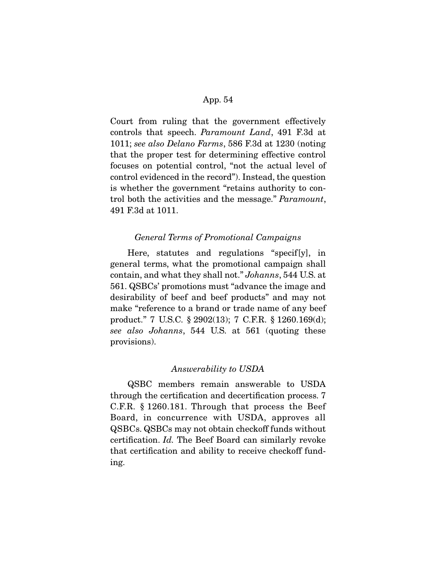Court from ruling that the government effectively controls that speech. Paramount Land, 491 F.3d at 1011; see also Delano Farms, 586 F.3d at 1230 (noting that the proper test for determining effective control focuses on potential control, "not the actual level of control evidenced in the record"). Instead, the question is whether the government "retains authority to control both the activities and the message." Paramount, 491 F.3d at 1011.

#### General Terms of Promotional Campaigns

 Here, statutes and regulations "specif[y], in general terms, what the promotional campaign shall contain, and what they shall not." Johanns, 544 U.S. at 561. QSBCs' promotions must "advance the image and desirability of beef and beef products" and may not make "reference to a brand or trade name of any beef product." 7 U.S.C. § 2902(13); 7 C.F.R. § 1260.169(d); see also Johanns, 544 U.S. at 561 (quoting these provisions).

## Answerability to USDA

 QSBC members remain answerable to USDA through the certification and decertification process. 7 C.F.R. § 1260.181. Through that process the Beef Board, in concurrence with USDA, approves all QSBCs. QSBCs may not obtain checkoff funds without certification. Id. The Beef Board can similarly revoke that certification and ability to receive checkoff funding.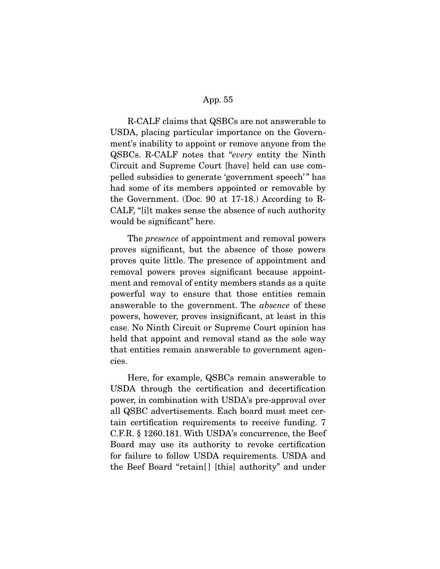R-CALF claims that QSBCs are not answerable to USDA, placing particular importance on the Government's inability to appoint or remove anyone from the QSBCs. R-CALF notes that "every entity the Ninth Circuit and Supreme Court [have] held can use compelled subsidies to generate 'government speech' " has had some of its members appointed or removable by the Government. (Doc. 90 at 17-18.) According to R-CALF, "[i]t makes sense the absence of such authority would be significant" here.

The *presence* of appointment and removal powers proves significant, but the absence of those powers proves quite little. The presence of appointment and removal powers proves significant because appointment and removal of entity members stands as a quite powerful way to ensure that those entities remain answerable to the government. The absence of these powers, however, proves insignificant, at least in this case. No Ninth Circuit or Supreme Court opinion has held that appoint and removal stand as the sole way that entities remain answerable to government agencies.

 Here, for example, QSBCs remain answerable to USDA through the certification and decertification power, in combination with USDA's pre-approval over all QSBC advertisements. Each board must meet certain certification requirements to receive funding. 7 C.F.R. § 1260.181. With USDA's concurrence, the Beef Board may use its authority to revoke certification for failure to follow USDA requirements. USDA and the Beef Board "retain<sup>[]</sup> [this] authority" and under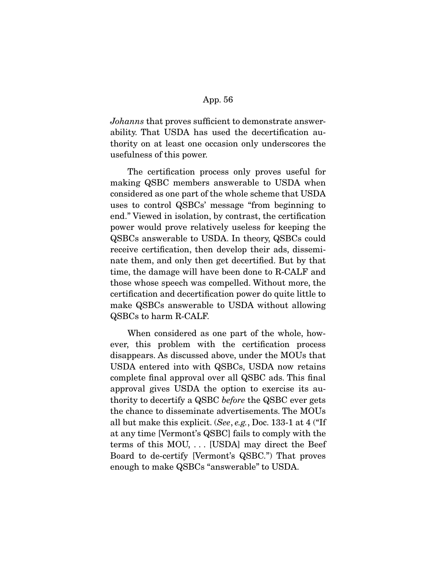Johanns that proves sufficient to demonstrate answerability. That USDA has used the decertification authority on at least one occasion only underscores the usefulness of this power.

 The certification process only proves useful for making QSBC members answerable to USDA when considered as one part of the whole scheme that USDA uses to control QSBCs' message "from beginning to end." Viewed in isolation, by contrast, the certification power would prove relatively useless for keeping the QSBCs answerable to USDA. In theory, QSBCs could receive certification, then develop their ads, disseminate them, and only then get decertified. But by that time, the damage will have been done to R-CALF and those whose speech was compelled. Without more, the certification and decertification power do quite little to make QSBCs answerable to USDA without allowing QSBCs to harm R-CALF.

 When considered as one part of the whole, however, this problem with the certification process disappears. As discussed above, under the MOUs that USDA entered into with QSBCs, USDA now retains complete final approval over all QSBC ads. This final approval gives USDA the option to exercise its authority to decertify a QSBC before the QSBC ever gets the chance to disseminate advertisements. The MOUs all but make this explicit. (See, e.g., Doc. 133-1 at 4 ("If at any time [Vermont's QSBC] fails to comply with the terms of this MOU, . . . [USDA] may direct the Beef Board to de-certify [Vermont's QSBC.") That proves enough to make QSBCs "answerable" to USDA.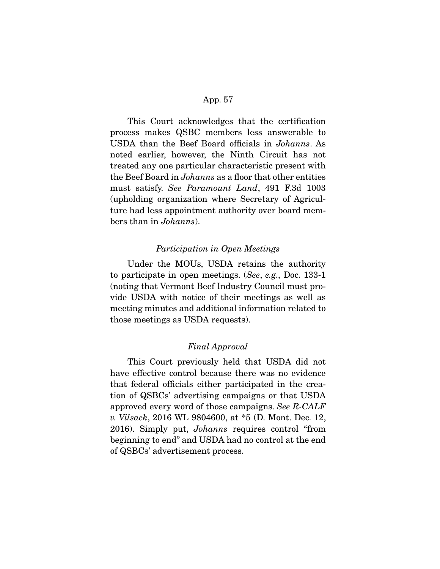This Court acknowledges that the certification process makes QSBC members less answerable to USDA than the Beef Board officials in Johanns. As noted earlier, however, the Ninth Circuit has not treated any one particular characteristic present with the Beef Board in Johanns as a floor that other entities must satisfy. See Paramount Land, 491 F.3d 1003 (upholding organization where Secretary of Agriculture had less appointment authority over board members than in Johanns).

## Participation in Open Meetings

 Under the MOUs, USDA retains the authority to participate in open meetings. (See, e.g., Doc. 133-1 (noting that Vermont Beef Industry Council must provide USDA with notice of their meetings as well as meeting minutes and additional information related to those meetings as USDA requests).

## Final Approval

 This Court previously held that USDA did not have effective control because there was no evidence that federal officials either participated in the creation of QSBCs' advertising campaigns or that USDA approved every word of those campaigns. See R-CALF v. Vilsack, 2016 WL 9804600, at \*5 (D. Mont. Dec. 12, 2016). Simply put, Johanns requires control "from beginning to end" and USDA had no control at the end of QSBCs' advertisement process.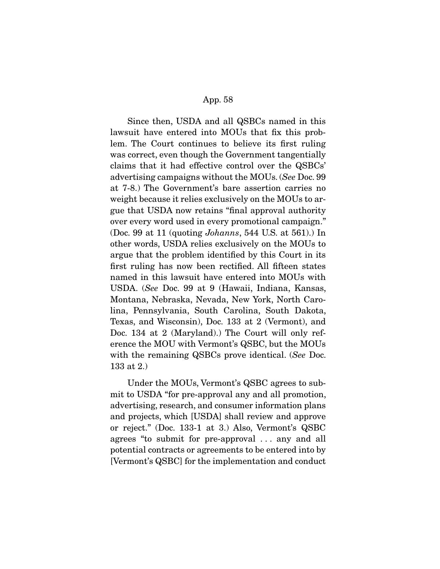Since then, USDA and all QSBCs named in this lawsuit have entered into MOUs that fix this problem. The Court continues to believe its first ruling was correct, even though the Government tangentially claims that it had effective control over the QSBCs' advertising campaigns without the MOUs. (See Doc. 99 at 7-8.) The Government's bare assertion carries no weight because it relies exclusively on the MOUs to argue that USDA now retains "final approval authority over every word used in every promotional campaign." (Doc. 99 at 11 (quoting Johanns, 544 U.S. at 561).) In other words, USDA relies exclusively on the MOUs to argue that the problem identified by this Court in its first ruling has now been rectified. All fifteen states named in this lawsuit have entered into MOUs with USDA. (See Doc. 99 at 9 (Hawaii, Indiana, Kansas, Montana, Nebraska, Nevada, New York, North Carolina, Pennsylvania, South Carolina, South Dakota, Texas, and Wisconsin), Doc. 133 at 2 (Vermont), and Doc. 134 at 2 (Maryland).) The Court will only reference the MOU with Vermont's QSBC, but the MOUs with the remaining QSBCs prove identical. (See Doc. 133 at 2.)

 Under the MOUs, Vermont's QSBC agrees to submit to USDA "for pre-approval any and all promotion, advertising, research, and consumer information plans and projects, which [USDA] shall review and approve or reject." (Doc. 133-1 at 3.) Also, Vermont's QSBC agrees "to submit for pre-approval . . . any and all potential contracts or agreements to be entered into by [Vermont's QSBC] for the implementation and conduct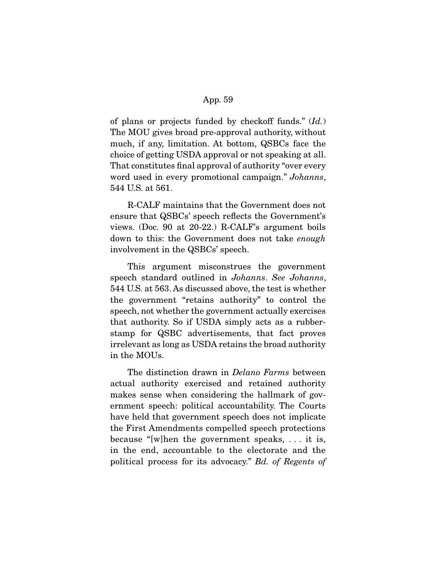of plans or projects funded by checkoff funds." (Id.) The MOU gives broad pre-approval authority, without much, if any, limitation. At bottom, QSBCs face the choice of getting USDA approval or not speaking at all. That constitutes final approval of authority "over every word used in every promotional campaign." Johanns, 544 U.S. at 561.

 R-CALF maintains that the Government does not ensure that QSBCs' speech reflects the Government's views. (Doc. 90 at 20-22.) R-CALF's argument boils down to this: the Government does not take enough involvement in the QSBCs' speech.

 This argument misconstrues the government speech standard outlined in Johanns. See Johanns, 544 U.S. at 563. As discussed above, the test is whether the government "retains authority" to control the speech, not whether the government actually exercises that authority. So if USDA simply acts as a rubberstamp for QSBC advertisements, that fact proves irrelevant as long as USDA retains the broad authority in the MOUs.

The distinction drawn in *Delano Farms* between actual authority exercised and retained authority makes sense when considering the hallmark of government speech: political accountability. The Courts have held that government speech does not implicate the First Amendments compelled speech protections because "[w]hen the government speaks, . . . it is, in the end, accountable to the electorate and the political process for its advocacy." Bd. of Regents of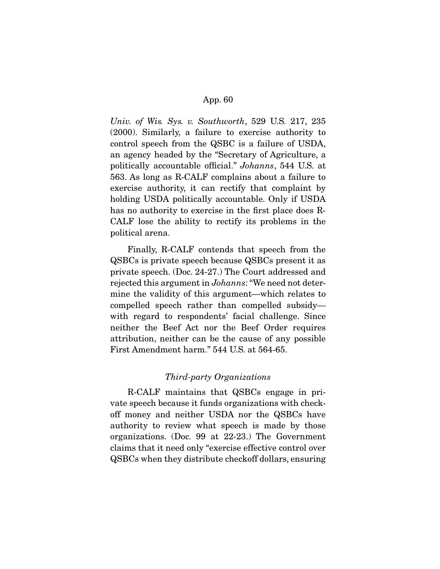Univ. of Wis. Sys. v. Southworth, 529 U.S. 217, 235 (2000). Similarly, a failure to exercise authority to control speech from the QSBC is a failure of USDA, an agency headed by the "Secretary of Agriculture, a politically accountable official." Johanns, 544 U.S. at 563. As long as R-CALF complains about a failure to exercise authority, it can rectify that complaint by holding USDA politically accountable. Only if USDA has no authority to exercise in the first place does R-CALF lose the ability to rectify its problems in the political arena.

 Finally, R-CALF contends that speech from the QSBCs is private speech because QSBCs present it as private speech. (Doc. 24-27.) The Court addressed and rejected this argument in Johanns: "We need not determine the validity of this argument—which relates to compelled speech rather than compelled subsidy with regard to respondents' facial challenge. Since neither the Beef Act nor the Beef Order requires attribution, neither can be the cause of any possible First Amendment harm." 544 U.S. at 564-65.

# Third-party Organizations

 R-CALF maintains that QSBCs engage in private speech because it funds organizations with checkoff money and neither USDA nor the QSBCs have authority to review what speech is made by those organizations. (Doc. 99 at 22-23.) The Government claims that it need only "exercise effective control over QSBCs when they distribute checkoff dollars, ensuring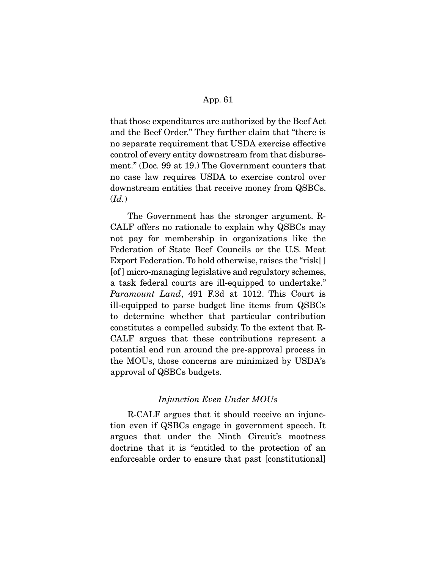that those expenditures are authorized by the Beef Act and the Beef Order." They further claim that "there is no separate requirement that USDA exercise effective control of every entity downstream from that disbursement." (Doc. 99 at 19.) The Government counters that no case law requires USDA to exercise control over downstream entities that receive money from QSBCs.  $(Id.)$ 

 The Government has the stronger argument. R-CALF offers no rationale to explain why QSBCs may not pay for membership in organizations like the Federation of State Beef Councils or the U.S. Meat Export Federation. To hold otherwise, raises the "risk[ ] [of ] micro-managing legislative and regulatory schemes, a task federal courts are ill-equipped to undertake." Paramount Land, 491 F.3d at 1012. This Court is ill-equipped to parse budget line items from QSBCs to determine whether that particular contribution constitutes a compelled subsidy. To the extent that R-CALF argues that these contributions represent a potential end run around the pre-approval process in the MOUs, those concerns are minimized by USDA's approval of QSBCs budgets.

# Injunction Even Under MOUs

 R-CALF argues that it should receive an injunction even if QSBCs engage in government speech. It argues that under the Ninth Circuit's mootness doctrine that it is "entitled to the protection of an enforceable order to ensure that past [constitutional]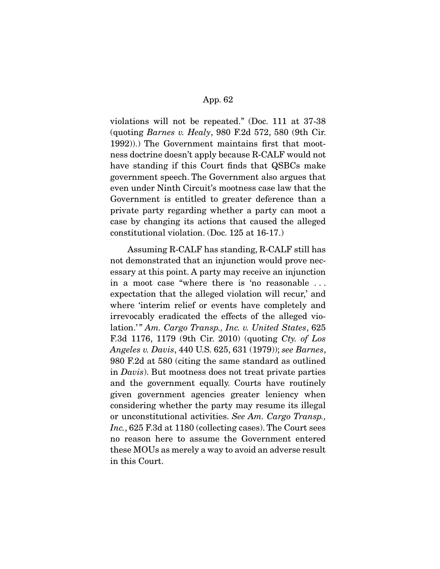violations will not be repeated." (Doc. 111 at 37-38 (quoting Barnes v. Healy, 980 F.2d 572, 580 (9th Cir. 1992)).) The Government maintains first that mootness doctrine doesn't apply because R-CALF would not have standing if this Court finds that QSBCs make government speech. The Government also argues that even under Ninth Circuit's mootness case law that the Government is entitled to greater deference than a private party regarding whether a party can moot a case by changing its actions that caused the alleged constitutional violation. (Doc. 125 at 16-17.)

 Assuming R-CALF has standing, R-CALF still has not demonstrated that an injunction would prove necessary at this point. A party may receive an injunction in a moot case "where there is 'no reasonable . . . expectation that the alleged violation will recur,' and where 'interim relief or events have completely and irrevocably eradicated the effects of the alleged violation.'" Am. Cargo Transp., Inc. v. United States, 625 F.3d 1176, 1179 (9th Cir. 2010) (quoting Cty. of Los Angeles v. Davis, 440 U.S. 625, 631 (1979)); see Barnes, 980 F.2d at 580 (citing the same standard as outlined in Davis). But mootness does not treat private parties and the government equally. Courts have routinely given government agencies greater leniency when considering whether the party may resume its illegal or unconstitutional activities. See Am. Cargo Transp., Inc., 625 F.3d at 1180 (collecting cases). The Court sees no reason here to assume the Government entered these MOUs as merely a way to avoid an adverse result in this Court.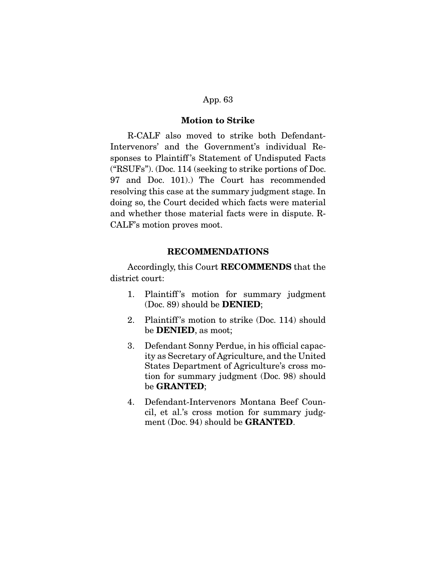## **Motion to Strike**

 R-CALF also moved to strike both Defendant-Intervenors' and the Government's individual Responses to Plaintiff 's Statement of Undisputed Facts ("RSUFs"). (Doc. 114 (seeking to strike portions of Doc. 97 and Doc. 101).) The Court has recommended resolving this case at the summary judgment stage. In doing so, the Court decided which facts were material and whether those material facts were in dispute. R-CALF's motion proves moot.

#### **RECOMMENDATIONS**

 Accordingly, this Court **RECOMMENDS** that the district court:

- 1. Plaintiff 's motion for summary judgment (Doc. 89) should be **DENIED**;
- 2. Plaintiff 's motion to strike (Doc. 114) should be **DENIED**, as moot;
- 3. Defendant Sonny Perdue, in his official capacity as Secretary of Agriculture, and the United States Department of Agriculture's cross motion for summary judgment (Doc. 98) should be **GRANTED**;
- 4. Defendant-Intervenors Montana Beef Council, et al.'s cross motion for summary judgment (Doc. 94) should be **GRANTED**.